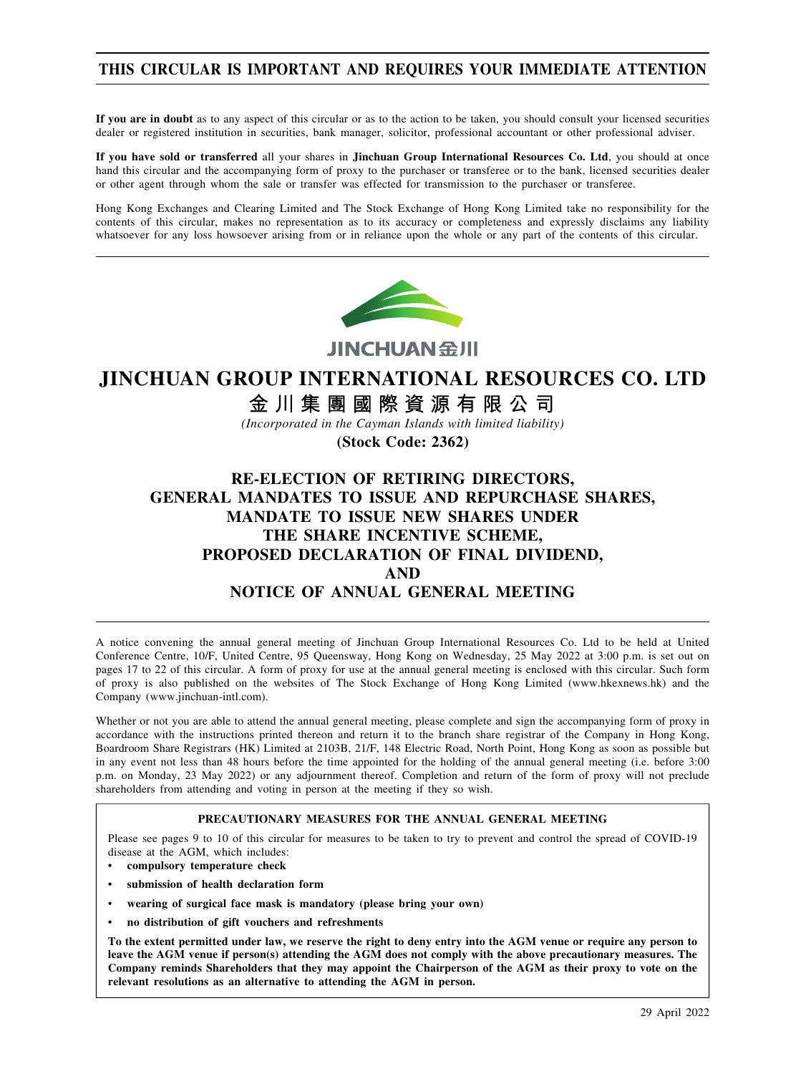## **THIS CIRCULAR IS IMPORTANT AND REQUIRES YOUR IMMEDIATE ATTENTION**

**If you are in doubt** as to any aspect of this circular or as to the action to be taken, you should consult your licensed securities dealer or registered institution in securities, bank manager, solicitor, professional accountant or other professional adviser.

**If you have sold or transferred** all your shares in **Jinchuan Group International Resources Co. Ltd**, you should at once hand this circular and the accompanying form of proxy to the purchaser or transferee or to the bank, licensed securities dealer or other agent through whom the sale or transfer was effected for transmission to the purchaser or transferee.

Hong Kong Exchanges and Clearing Limited and The Stock Exchange of Hong Kong Limited take no responsibility for the contents of this circular, makes no representation as to its accuracy or completeness and expressly disclaims any liability whatsoever for any loss howsoever arising from or in reliance upon the whole or any part of the contents of this circular.



JINCHUAN 金川

# **JINCHUAN GROUP INTERNATIONAL RESOURCES CO. LTD**

金川集團國際資源有限公司

*(Incorporated in the Cayman Islands with limited liability)*

**(Stock Code: 2362)**

# **RE-ELECTION OF RETIRING DIRECTORS, GENERAL MANDATES TO ISSUE AND REPURCHASE SHARES, MANDATE TO ISSUE NEW SHARES UNDER THE SHARE INCENTIVE SCHEME, PROPOSED DECLARATION OF FINAL DIVIDEND, AND NOTICE OF ANNUAL GENERAL MEETING**

A notice convening the annual general meeting of Jinchuan Group International Resources Co. Ltd to be held at United Conference Centre, 10/F, United Centre, 95 Queensway, Hong Kong on Wednesday, 25 May 2022 at 3:00 p.m. is set out on pages 17 to 22 of this circular. A form of proxy for use at the annual general meeting is enclosed with this circular. Such form of proxy is also published on the websites of The Stock Exchange of Hong Kong Limited (www.hkexnews.hk) and the Company (www.jinchuan-intl.com).

Whether or not you are able to attend the annual general meeting, please complete and sign the accompanying form of proxy in accordance with the instructions printed thereon and return it to the branch share registrar of the Company in Hong Kong, Boardroom Share Registrars (HK) Limited at 2103B, 21/F, 148 Electric Road, North Point, Hong Kong as soon as possible but in any event not less than 48 hours before the time appointed for the holding of the annual general meeting (i.e. before 3:00 p.m. on Monday, 23 May 2022) or any adjournment thereof. Completion and return of the form of proxy will not preclude shareholders from attending and voting in person at the meeting if they so wish.

#### **PRECAUTIONARY MEASURES FOR THE ANNUAL GENERAL MEETING**

Please see pages 9 to 10 of this circular for measures to be taken to try to prevent and control the spread of COVID-19 disease at the AGM, which includes:

- **compulsory temperature check**
- **submission of health declaration form**
- **wearing of surgical face mask is mandatory (please bring your own)**
- **no distribution of gift vouchers and refreshments**

To the extent permitted under law, we reserve the right to deny entry into the AGM venue or require any person to leave the AGM venue if person(s) attending the AGM does not comply with the above precautionary measures. The Company reminds Shareholders that they may appoint the Chairperson of the AGM as their proxy to vote on the **relevant resolutions as an alternative to attending the AGM in person.**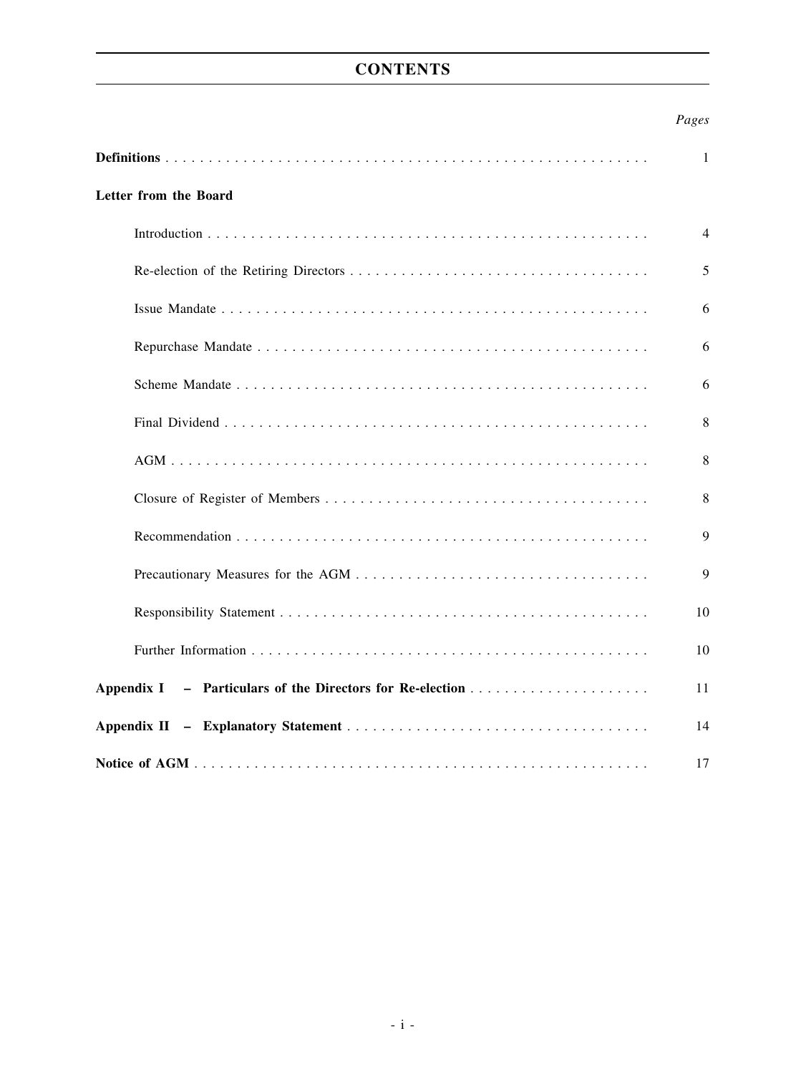# **CONTENTS**

## *Pages*

|                       | 1  |
|-----------------------|----|
| Letter from the Board |    |
|                       | 4  |
|                       | 5  |
|                       | 6  |
|                       | 6  |
|                       | 6  |
|                       | 8  |
|                       | 8  |
|                       | 8  |
|                       | 9  |
|                       | 9  |
|                       | 10 |
|                       | 10 |
| Appendix I            | 11 |
|                       | 14 |
|                       | 17 |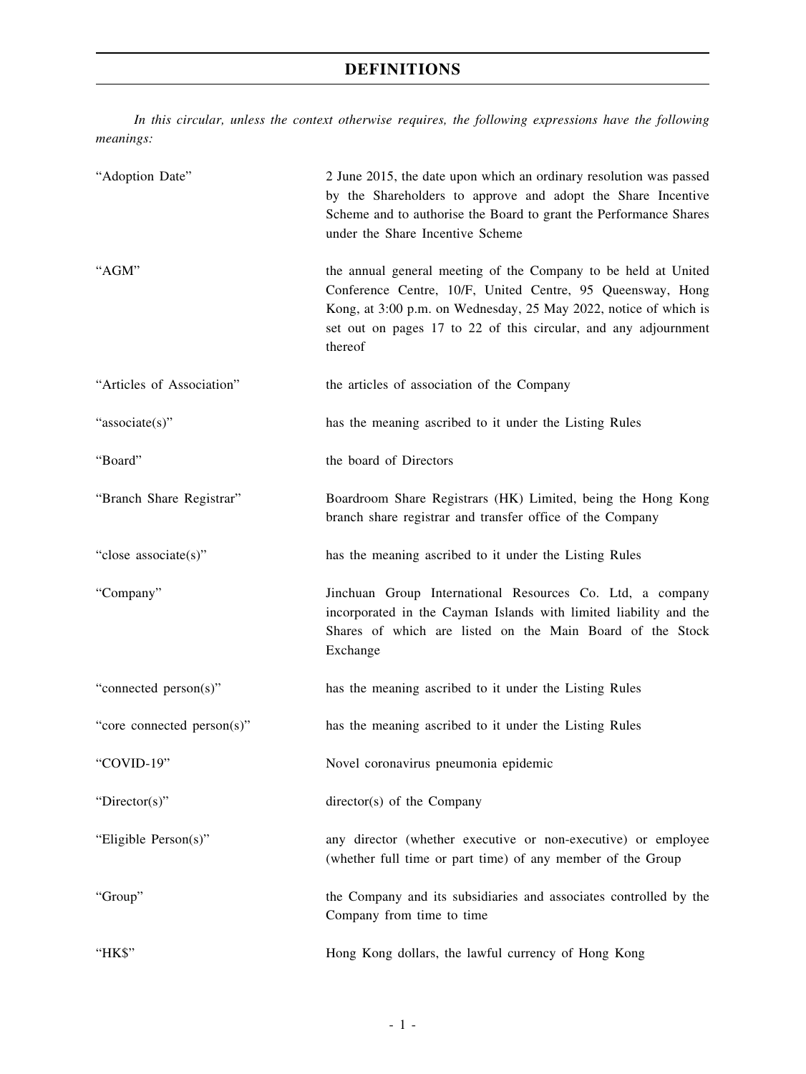# **DEFINITIONS**

*In this circular, unless the context otherwise requires, the following expressions have the following meanings:*

| "Adoption Date"            | 2 June 2015, the date upon which an ordinary resolution was passed<br>by the Shareholders to approve and adopt the Share Incentive<br>Scheme and to authorise the Board to grant the Performance Shares<br>under the Share Incentive Scheme                                    |
|----------------------------|--------------------------------------------------------------------------------------------------------------------------------------------------------------------------------------------------------------------------------------------------------------------------------|
| "AGM"                      | the annual general meeting of the Company to be held at United<br>Conference Centre, 10/F, United Centre, 95 Queensway, Hong<br>Kong, at 3:00 p.m. on Wednesday, 25 May 2022, notice of which is<br>set out on pages 17 to 22 of this circular, and any adjournment<br>thereof |
| "Articles of Association"  | the articles of association of the Company                                                                                                                                                                                                                                     |
| "associate(s)"             | has the meaning ascribed to it under the Listing Rules                                                                                                                                                                                                                         |
| "Board"                    | the board of Directors                                                                                                                                                                                                                                                         |
| "Branch Share Registrar"   | Boardroom Share Registrars (HK) Limited, being the Hong Kong<br>branch share registrar and transfer office of the Company                                                                                                                                                      |
| "close associate(s)"       | has the meaning ascribed to it under the Listing Rules                                                                                                                                                                                                                         |
| "Company"                  | Jinchuan Group International Resources Co. Ltd, a company<br>incorporated in the Cayman Islands with limited liability and the<br>Shares of which are listed on the Main Board of the Stock<br>Exchange                                                                        |
| "connected person(s)"      | has the meaning ascribed to it under the Listing Rules                                                                                                                                                                                                                         |
| "core connected person(s)" | has the meaning ascribed to it under the Listing Rules                                                                                                                                                                                                                         |
| "COVID-19"                 | Novel coronavirus pneumonia epidemic                                                                                                                                                                                                                                           |
| "Director(s)"              | director(s) of the Company                                                                                                                                                                                                                                                     |
| "Eligible Person(s)"       | any director (whether executive or non-executive) or employee<br>(whether full time or part time) of any member of the Group                                                                                                                                                   |
| "Group"                    | the Company and its subsidiaries and associates controlled by the<br>Company from time to time                                                                                                                                                                                 |
| "HK\$"                     | Hong Kong dollars, the lawful currency of Hong Kong                                                                                                                                                                                                                            |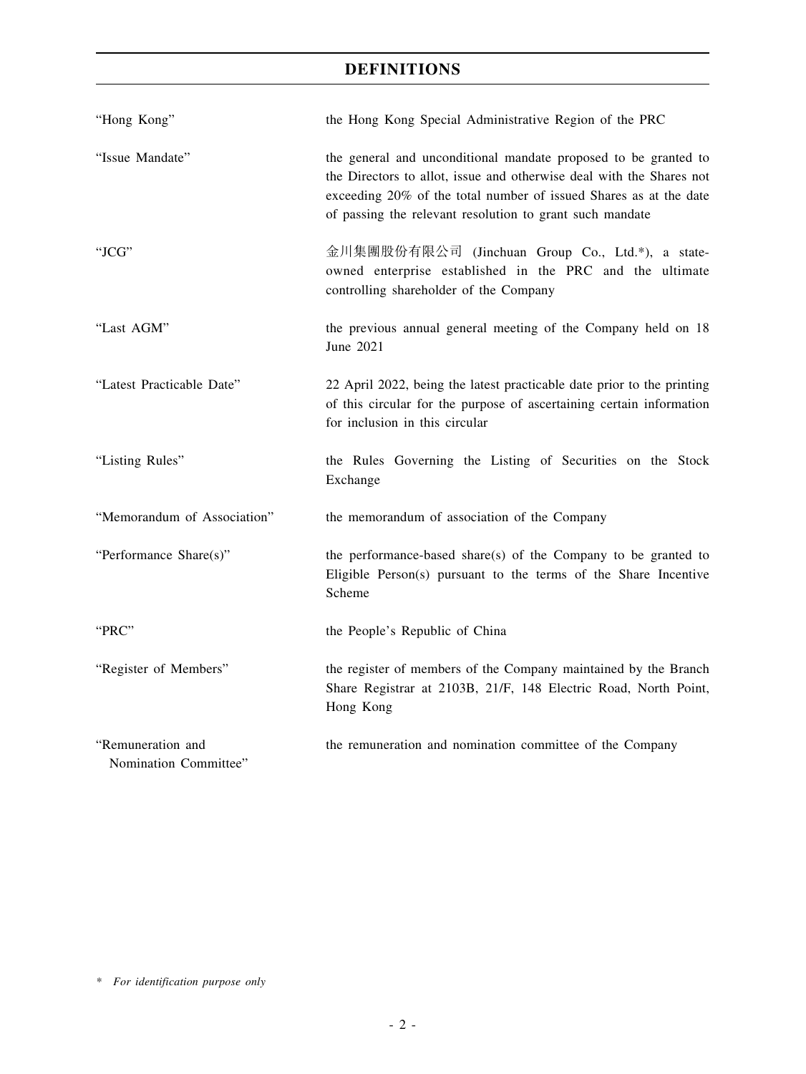# **DEFINITIONS**

| "Hong Kong"                                | the Hong Kong Special Administrative Region of the PRC                                                                                                                                                                                                                   |
|--------------------------------------------|--------------------------------------------------------------------------------------------------------------------------------------------------------------------------------------------------------------------------------------------------------------------------|
| "Issue Mandate"                            | the general and unconditional mandate proposed to be granted to<br>the Directors to allot, issue and otherwise deal with the Shares not<br>exceeding 20% of the total number of issued Shares as at the date<br>of passing the relevant resolution to grant such mandate |
| "JCG"                                      | 金川集團股份有限公司 (Jinchuan Group Co., Ltd.*), a state-<br>owned enterprise established in the PRC and the ultimate<br>controlling shareholder of the Company                                                                                                                   |
| "Last AGM"                                 | the previous annual general meeting of the Company held on 18<br>June 2021                                                                                                                                                                                               |
| "Latest Practicable Date"                  | 22 April 2022, being the latest practicable date prior to the printing<br>of this circular for the purpose of ascertaining certain information<br>for inclusion in this circular                                                                                         |
| "Listing Rules"                            | the Rules Governing the Listing of Securities on the Stock<br>Exchange                                                                                                                                                                                                   |
| "Memorandum of Association"                | the memorandum of association of the Company                                                                                                                                                                                                                             |
| "Performance Share(s)"                     | the performance-based share(s) of the Company to be granted to<br>Eligible Person(s) pursuant to the terms of the Share Incentive<br>Scheme                                                                                                                              |
| "PRC"                                      | the People's Republic of China                                                                                                                                                                                                                                           |
| "Register of Members"                      | the register of members of the Company maintained by the Branch<br>Share Registrar at 2103B, 21/F, 148 Electric Road, North Point,<br>Hong Kong                                                                                                                          |
| "Remuneration and<br>Nomination Committee" | the remuneration and nomination committee of the Company                                                                                                                                                                                                                 |

*\* For identification purpose only*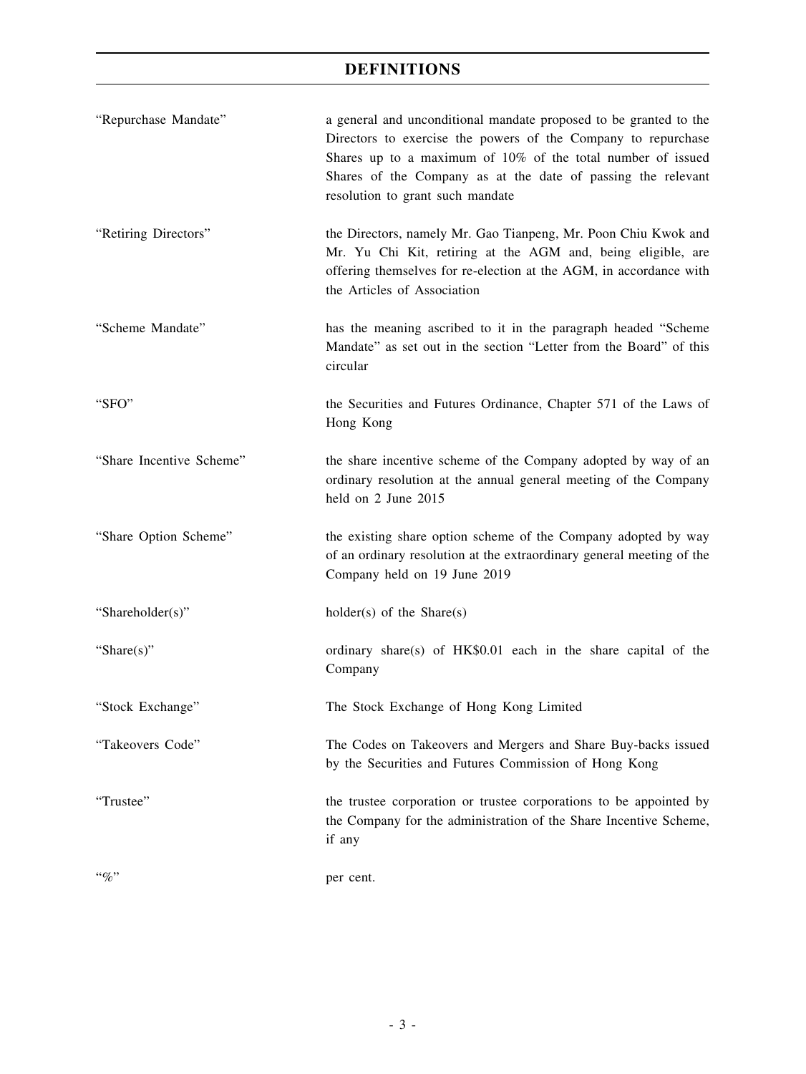# **DEFINITIONS**

| "Repurchase Mandate"     | a general and unconditional mandate proposed to be granted to the<br>Directors to exercise the powers of the Company to repurchase<br>Shares up to a maximum of 10% of the total number of issued<br>Shares of the Company as at the date of passing the relevant<br>resolution to grant such mandate |
|--------------------------|-------------------------------------------------------------------------------------------------------------------------------------------------------------------------------------------------------------------------------------------------------------------------------------------------------|
| "Retiring Directors"     | the Directors, namely Mr. Gao Tianpeng, Mr. Poon Chiu Kwok and<br>Mr. Yu Chi Kit, retiring at the AGM and, being eligible, are<br>offering themselves for re-election at the AGM, in accordance with<br>the Articles of Association                                                                   |
| "Scheme Mandate"         | has the meaning ascribed to it in the paragraph headed "Scheme<br>Mandate" as set out in the section "Letter from the Board" of this<br>circular                                                                                                                                                      |
| "SFO"                    | the Securities and Futures Ordinance, Chapter 571 of the Laws of<br>Hong Kong                                                                                                                                                                                                                         |
| "Share Incentive Scheme" | the share incentive scheme of the Company adopted by way of an<br>ordinary resolution at the annual general meeting of the Company<br>held on 2 June 2015                                                                                                                                             |
| "Share Option Scheme"    | the existing share option scheme of the Company adopted by way<br>of an ordinary resolution at the extraordinary general meeting of the<br>Company held on 19 June 2019                                                                                                                               |
| "Shareholder(s)"         | $holder(s)$ of the Share $(s)$                                                                                                                                                                                                                                                                        |
| "Share $(s)$ "           | ordinary share(s) of HK\$0.01 each in the share capital of the<br>Company                                                                                                                                                                                                                             |
| "Stock Exchange"         | The Stock Exchange of Hong Kong Limited                                                                                                                                                                                                                                                               |
| "Takeovers Code"         | The Codes on Takeovers and Mergers and Share Buy-backs issued<br>by the Securities and Futures Commission of Hong Kong                                                                                                                                                                                |
| "Trustee"                | the trustee corporation or trustee corporations to be appointed by<br>the Company for the administration of the Share Incentive Scheme,<br>if any                                                                                                                                                     |
| $``\%"$                  | per cent.                                                                                                                                                                                                                                                                                             |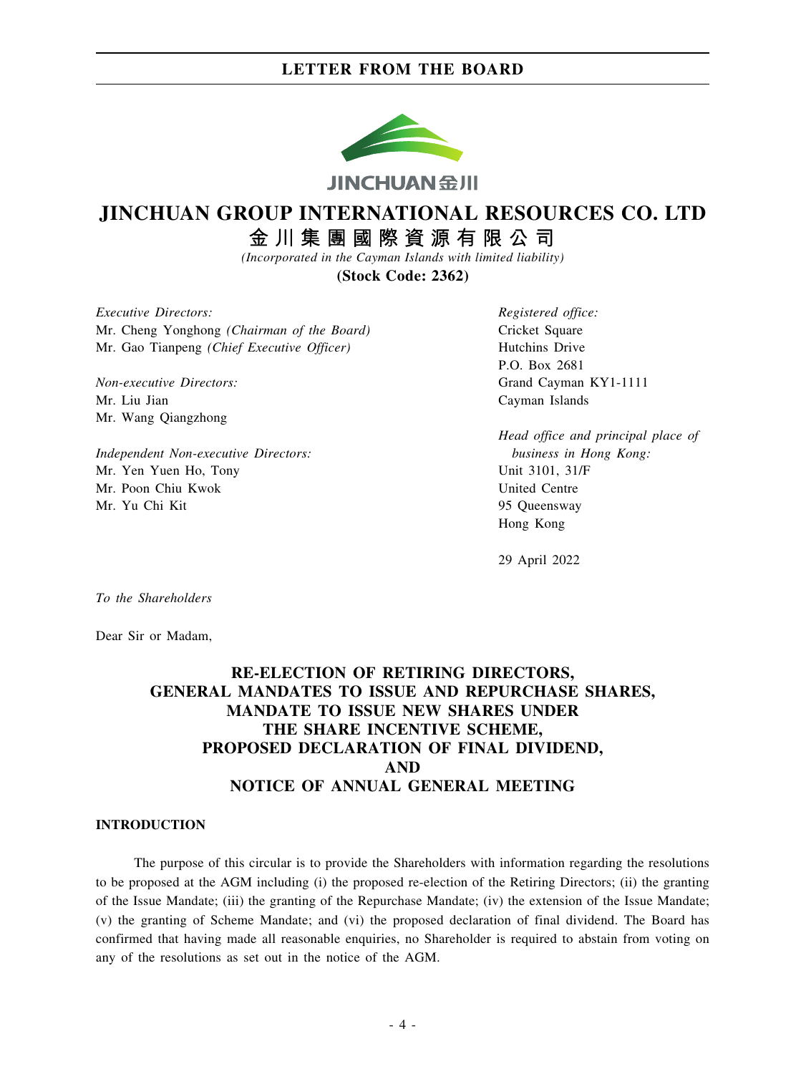

# **JINCHUAN GROUP INTERNATIONAL RESOURCES CO. LTD**

金川集團國際資源有限公司

*(Incorporated in the Cayman Islands with limited liability)*

**(Stock Code: 2362)**

*Executive Directors:* Mr. Cheng Yonghong *(Chairman of the Board)* Mr. Gao Tianpeng *(Chief Executive Officer)*

*Non-executive Directors:* Mr. Liu Jian Mr. Wang Qiangzhong

*Independent Non-executive Directors:* Mr. Yen Yuen Ho, Tony Mr. Poon Chiu Kwok Mr. Yu Chi Kit

*Registered office:* Cricket Square Hutchins Drive P.O. Box 2681 Grand Cayman KY1-1111 Cayman Islands

*Head office and principal place of business in Hong Kong:* Unit 3101, 31/F United Centre 95 Queensway Hong Kong

29 April 2022

*To the Shareholders*

Dear Sir or Madam,

# **RE-ELECTION OF RETIRING DIRECTORS, GENERAL MANDATES TO ISSUE AND REPURCHASE SHARES, MANDATE TO ISSUE NEW SHARES UNDER THE SHARE INCENTIVE SCHEME, PROPOSED DECLARATION OF FINAL DIVIDEND, AND NOTICE OF ANNUAL GENERAL MEETING**

### **INTRODUCTION**

The purpose of this circular is to provide the Shareholders with information regarding the resolutions to be proposed at the AGM including (i) the proposed re-election of the Retiring Directors; (ii) the granting of the Issue Mandate; (iii) the granting of the Repurchase Mandate; (iv) the extension of the Issue Mandate; (v) the granting of Scheme Mandate; and (vi) the proposed declaration of final dividend. The Board has confirmed that having made all reasonable enquiries, no Shareholder is required to abstain from voting on any of the resolutions as set out in the notice of the AGM.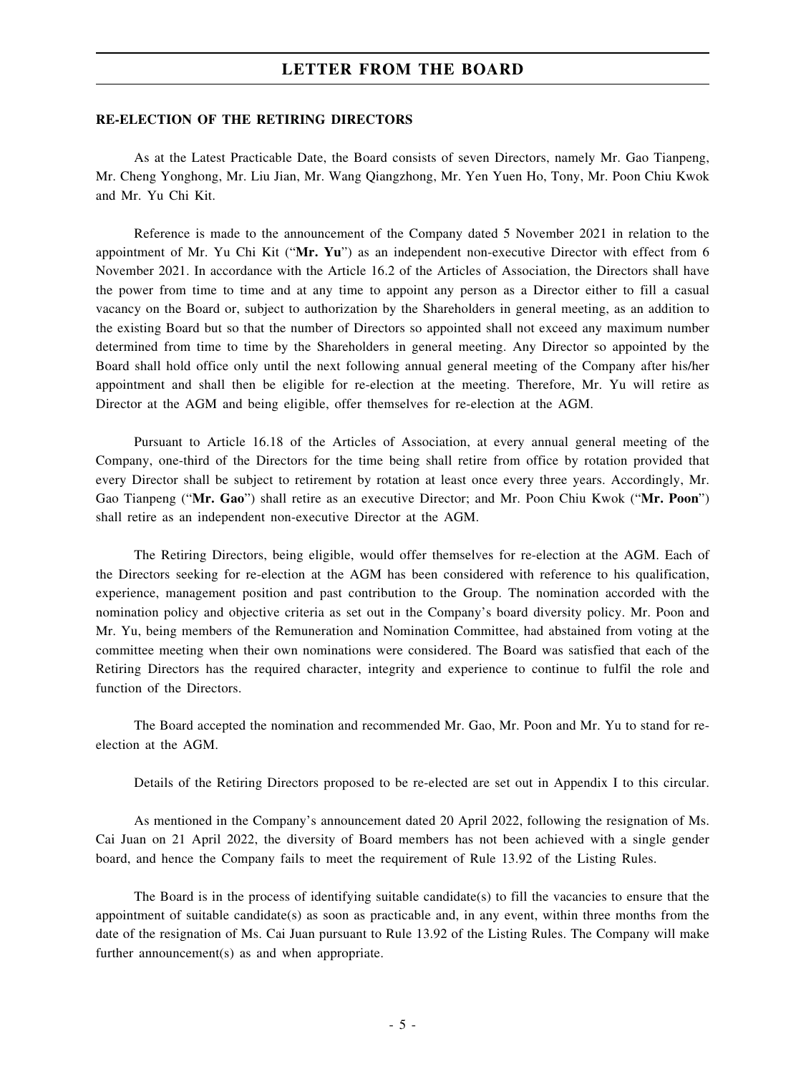#### **RE-ELECTION OF THE RETIRING DIRECTORS**

As at the Latest Practicable Date, the Board consists of seven Directors, namely Mr. Gao Tianpeng, Mr. Cheng Yonghong, Mr. Liu Jian, Mr. Wang Qiangzhong, Mr. Yen Yuen Ho, Tony, Mr. Poon Chiu Kwok and Mr. Yu Chi Kit.

Reference is made to the announcement of the Company dated 5 November 2021 in relation to the appointment of Mr. Yu Chi Kit ("**Mr. Yu**") as an independent non-executive Director with effect from 6 November 2021. In accordance with the Article 16.2 of the Articles of Association, the Directors shall have the power from time to time and at any time to appoint any person as a Director either to fill a casual vacancy on the Board or, subject to authorization by the Shareholders in general meeting, as an addition to the existing Board but so that the number of Directors so appointed shall not exceed any maximum number determined from time to time by the Shareholders in general meeting. Any Director so appointed by the Board shall hold office only until the next following annual general meeting of the Company after his/her appointment and shall then be eligible for re-election at the meeting. Therefore, Mr. Yu will retire as Director at the AGM and being eligible, offer themselves for re-election at the AGM.

Pursuant to Article 16.18 of the Articles of Association, at every annual general meeting of the Company, one-third of the Directors for the time being shall retire from office by rotation provided that every Director shall be subject to retirement by rotation at least once every three years. Accordingly, Mr. Gao Tianpeng ("**Mr. Gao**") shall retire as an executive Director; and Mr. Poon Chiu Kwok ("**Mr. Poon**") shall retire as an independent non-executive Director at the AGM.

The Retiring Directors, being eligible, would offer themselves for re-election at the AGM. Each of the Directors seeking for re-election at the AGM has been considered with reference to his qualification, experience, management position and past contribution to the Group. The nomination accorded with the nomination policy and objective criteria as set out in the Company's board diversity policy. Mr. Poon and Mr. Yu, being members of the Remuneration and Nomination Committee, had abstained from voting at the committee meeting when their own nominations were considered. The Board was satisfied that each of the Retiring Directors has the required character, integrity and experience to continue to fulfil the role and function of the Directors.

The Board accepted the nomination and recommended Mr. Gao, Mr. Poon and Mr. Yu to stand for reelection at the AGM.

Details of the Retiring Directors proposed to be re-elected are set out in Appendix I to this circular.

As mentioned in the Company's announcement dated 20 April 2022, following the resignation of Ms. Cai Juan on 21 April 2022, the diversity of Board members has not been achieved with a single gender board, and hence the Company fails to meet the requirement of Rule 13.92 of the Listing Rules.

The Board is in the process of identifying suitable candidate(s) to fill the vacancies to ensure that the appointment of suitable candidate(s) as soon as practicable and, in any event, within three months from the date of the resignation of Ms. Cai Juan pursuant to Rule 13.92 of the Listing Rules. The Company will make further announcement(s) as and when appropriate.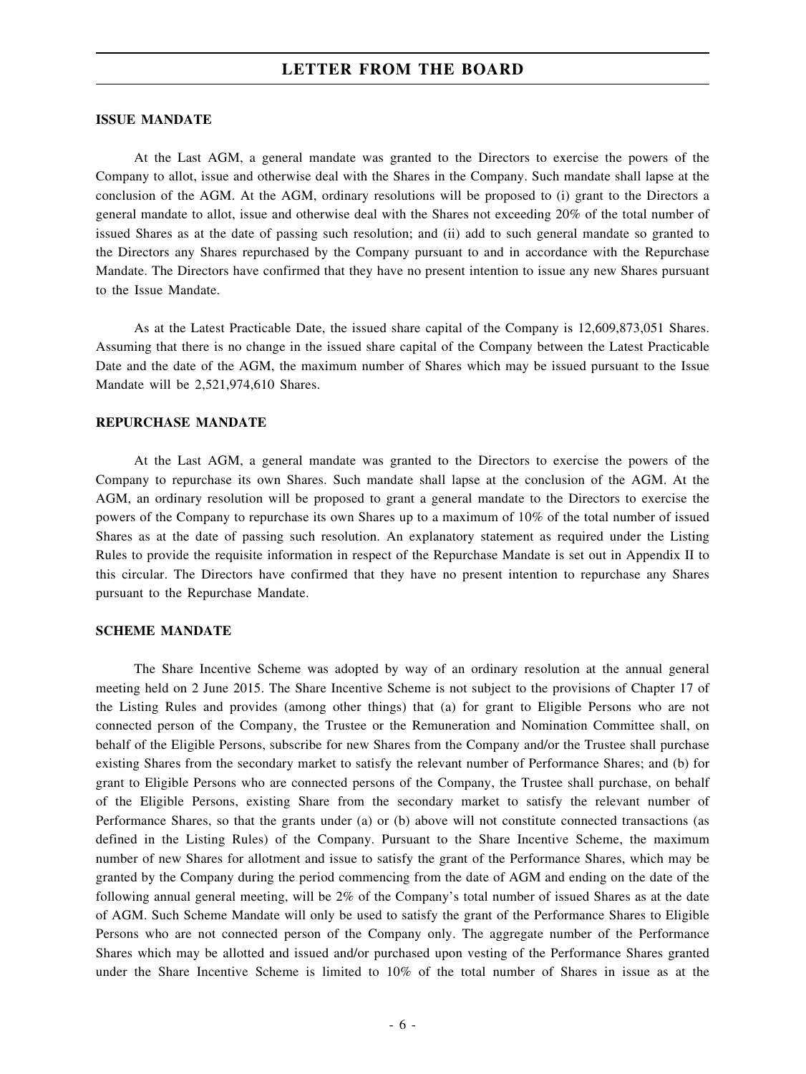#### **ISSUE MANDATE**

At the Last AGM, a general mandate was granted to the Directors to exercise the powers of the Company to allot, issue and otherwise deal with the Shares in the Company. Such mandate shall lapse at the conclusion of the AGM. At the AGM, ordinary resolutions will be proposed to (i) grant to the Directors a general mandate to allot, issue and otherwise deal with the Shares not exceeding 20% of the total number of issued Shares as at the date of passing such resolution; and (ii) add to such general mandate so granted to the Directors any Shares repurchased by the Company pursuant to and in accordance with the Repurchase Mandate. The Directors have confirmed that they have no present intention to issue any new Shares pursuant to the Issue Mandate.

As at the Latest Practicable Date, the issued share capital of the Company is 12,609,873,051 Shares. Assuming that there is no change in the issued share capital of the Company between the Latest Practicable Date and the date of the AGM, the maximum number of Shares which may be issued pursuant to the Issue Mandate will be 2,521,974,610 Shares.

#### **REPURCHASE MANDATE**

At the Last AGM, a general mandate was granted to the Directors to exercise the powers of the Company to repurchase its own Shares. Such mandate shall lapse at the conclusion of the AGM. At the AGM, an ordinary resolution will be proposed to grant a general mandate to the Directors to exercise the powers of the Company to repurchase its own Shares up to a maximum of 10% of the total number of issued Shares as at the date of passing such resolution. An explanatory statement as required under the Listing Rules to provide the requisite information in respect of the Repurchase Mandate is set out in Appendix II to this circular. The Directors have confirmed that they have no present intention to repurchase any Shares pursuant to the Repurchase Mandate.

## **SCHEME MANDATE**

The Share Incentive Scheme was adopted by way of an ordinary resolution at the annual general meeting held on 2 June 2015. The Share Incentive Scheme is not subject to the provisions of Chapter 17 of the Listing Rules and provides (among other things) that (a) for grant to Eligible Persons who are not connected person of the Company, the Trustee or the Remuneration and Nomination Committee shall, on behalf of the Eligible Persons, subscribe for new Shares from the Company and/or the Trustee shall purchase existing Shares from the secondary market to satisfy the relevant number of Performance Shares; and (b) for grant to Eligible Persons who are connected persons of the Company, the Trustee shall purchase, on behalf of the Eligible Persons, existing Share from the secondary market to satisfy the relevant number of Performance Shares, so that the grants under (a) or (b) above will not constitute connected transactions (as defined in the Listing Rules) of the Company. Pursuant to the Share Incentive Scheme, the maximum number of new Shares for allotment and issue to satisfy the grant of the Performance Shares, which may be granted by the Company during the period commencing from the date of AGM and ending on the date of the following annual general meeting, will be 2% of the Company's total number of issued Shares as at the date of AGM. Such Scheme Mandate will only be used to satisfy the grant of the Performance Shares to Eligible Persons who are not connected person of the Company only. The aggregate number of the Performance Shares which may be allotted and issued and/or purchased upon vesting of the Performance Shares granted under the Share Incentive Scheme is limited to 10% of the total number of Shares in issue as at the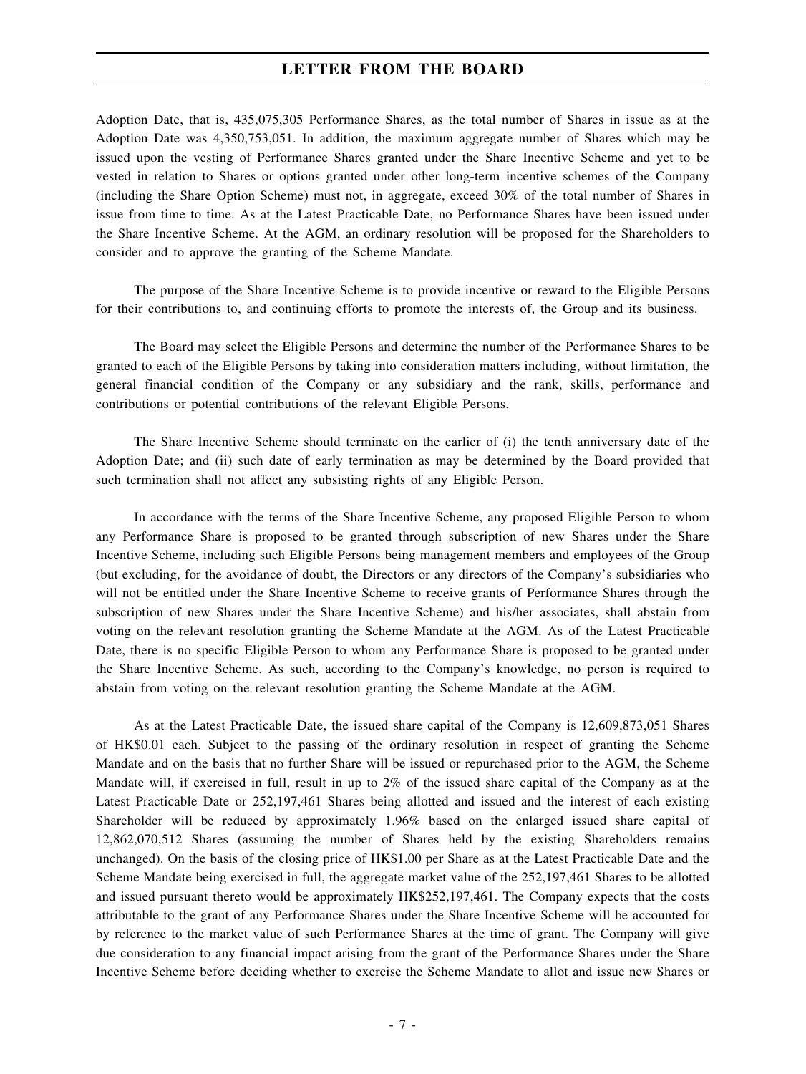Adoption Date, that is, 435,075,305 Performance Shares, as the total number of Shares in issue as at the Adoption Date was 4,350,753,051. In addition, the maximum aggregate number of Shares which may be issued upon the vesting of Performance Shares granted under the Share Incentive Scheme and yet to be vested in relation to Shares or options granted under other long-term incentive schemes of the Company (including the Share Option Scheme) must not, in aggregate, exceed 30% of the total number of Shares in issue from time to time. As at the Latest Practicable Date, no Performance Shares have been issued under the Share Incentive Scheme. At the AGM, an ordinary resolution will be proposed for the Shareholders to consider and to approve the granting of the Scheme Mandate.

The purpose of the Share Incentive Scheme is to provide incentive or reward to the Eligible Persons for their contributions to, and continuing efforts to promote the interests of, the Group and its business.

The Board may select the Eligible Persons and determine the number of the Performance Shares to be granted to each of the Eligible Persons by taking into consideration matters including, without limitation, the general financial condition of the Company or any subsidiary and the rank, skills, performance and contributions or potential contributions of the relevant Eligible Persons.

The Share Incentive Scheme should terminate on the earlier of (i) the tenth anniversary date of the Adoption Date; and (ii) such date of early termination as may be determined by the Board provided that such termination shall not affect any subsisting rights of any Eligible Person.

In accordance with the terms of the Share Incentive Scheme, any proposed Eligible Person to whom any Performance Share is proposed to be granted through subscription of new Shares under the Share Incentive Scheme, including such Eligible Persons being management members and employees of the Group (but excluding, for the avoidance of doubt, the Directors or any directors of the Company's subsidiaries who will not be entitled under the Share Incentive Scheme to receive grants of Performance Shares through the subscription of new Shares under the Share Incentive Scheme) and his/her associates, shall abstain from voting on the relevant resolution granting the Scheme Mandate at the AGM. As of the Latest Practicable Date, there is no specific Eligible Person to whom any Performance Share is proposed to be granted under the Share Incentive Scheme. As such, according to the Company's knowledge, no person is required to abstain from voting on the relevant resolution granting the Scheme Mandate at the AGM.

As at the Latest Practicable Date, the issued share capital of the Company is 12,609,873,051 Shares of HK\$0.01 each. Subject to the passing of the ordinary resolution in respect of granting the Scheme Mandate and on the basis that no further Share will be issued or repurchased prior to the AGM, the Scheme Mandate will, if exercised in full, result in up to 2% of the issued share capital of the Company as at the Latest Practicable Date or 252,197,461 Shares being allotted and issued and the interest of each existing Shareholder will be reduced by approximately 1.96% based on the enlarged issued share capital of 12,862,070,512 Shares (assuming the number of Shares held by the existing Shareholders remains unchanged). On the basis of the closing price of HK\$1.00 per Share as at the Latest Practicable Date and the Scheme Mandate being exercised in full, the aggregate market value of the 252,197,461 Shares to be allotted and issued pursuant thereto would be approximately HK\$252,197,461. The Company expects that the costs attributable to the grant of any Performance Shares under the Share Incentive Scheme will be accounted for by reference to the market value of such Performance Shares at the time of grant. The Company will give due consideration to any financial impact arising from the grant of the Performance Shares under the Share Incentive Scheme before deciding whether to exercise the Scheme Mandate to allot and issue new Shares or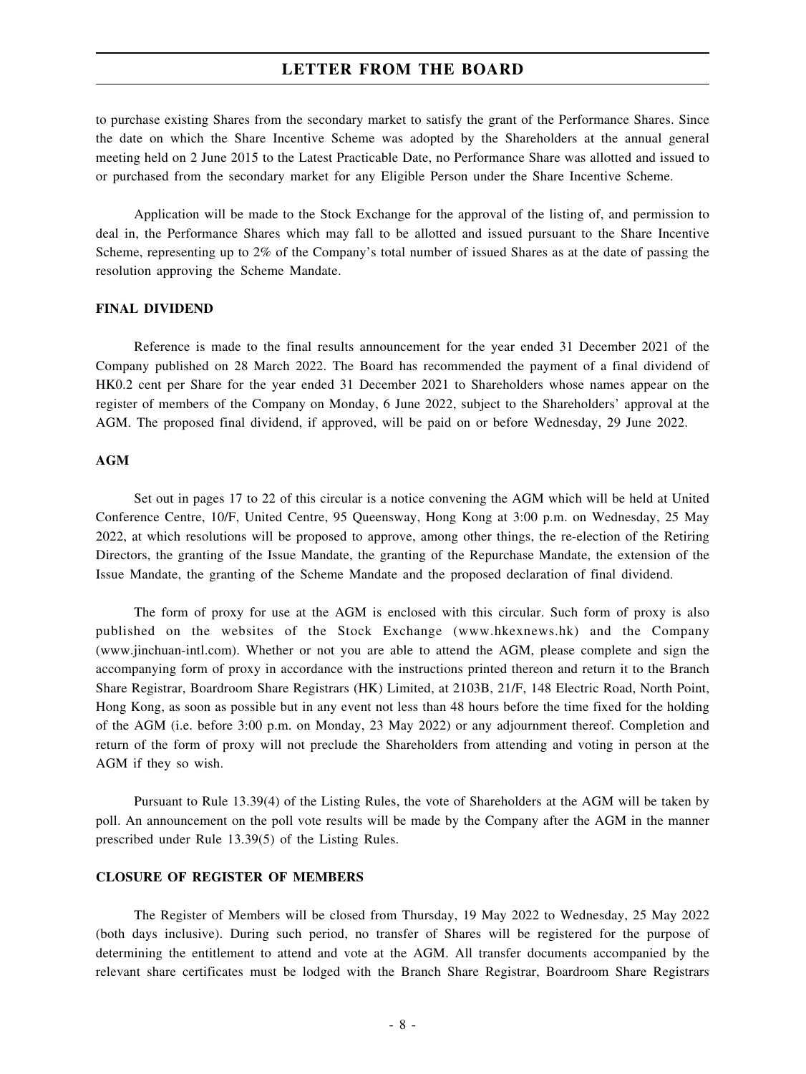to purchase existing Shares from the secondary market to satisfy the grant of the Performance Shares. Since the date on which the Share Incentive Scheme was adopted by the Shareholders at the annual general meeting held on 2 June 2015 to the Latest Practicable Date, no Performance Share was allotted and issued to or purchased from the secondary market for any Eligible Person under the Share Incentive Scheme.

Application will be made to the Stock Exchange for the approval of the listing of, and permission to deal in, the Performance Shares which may fall to be allotted and issued pursuant to the Share Incentive Scheme, representing up to 2% of the Company's total number of issued Shares as at the date of passing the resolution approving the Scheme Mandate.

#### **FINAL DIVIDEND**

Reference is made to the final results announcement for the year ended 31 December 2021 of the Company published on 28 March 2022. The Board has recommended the payment of a final dividend of HK0.2 cent per Share for the year ended 31 December 2021 to Shareholders whose names appear on the register of members of the Company on Monday, 6 June 2022, subject to the Shareholders' approval at the AGM. The proposed final dividend, if approved, will be paid on or before Wednesday, 29 June 2022.

#### **AGM**

Set out in pages 17 to 22 of this circular is a notice convening the AGM which will be held at United Conference Centre, 10/F, United Centre, 95 Queensway, Hong Kong at 3:00 p.m. on Wednesday, 25 May 2022, at which resolutions will be proposed to approve, among other things, the re-election of the Retiring Directors, the granting of the Issue Mandate, the granting of the Repurchase Mandate, the extension of the Issue Mandate, the granting of the Scheme Mandate and the proposed declaration of final dividend.

The form of proxy for use at the AGM is enclosed with this circular. Such form of proxy is also published on the websites of the Stock Exchange (www.hkexnews.hk) and the Company (www.jinchuan-intl.com). Whether or not you are able to attend the AGM, please complete and sign the accompanying form of proxy in accordance with the instructions printed thereon and return it to the Branch Share Registrar, Boardroom Share Registrars (HK) Limited, at 2103B, 21/F, 148 Electric Road, North Point, Hong Kong, as soon as possible but in any event not less than 48 hours before the time fixed for the holding of the AGM (i.e. before 3:00 p.m. on Monday, 23 May 2022) or any adjournment thereof. Completion and return of the form of proxy will not preclude the Shareholders from attending and voting in person at the AGM if they so wish.

Pursuant to Rule 13.39(4) of the Listing Rules, the vote of Shareholders at the AGM will be taken by poll. An announcement on the poll vote results will be made by the Company after the AGM in the manner prescribed under Rule 13.39(5) of the Listing Rules.

## **CLOSURE OF REGISTER OF MEMBERS**

The Register of Members will be closed from Thursday, 19 May 2022 to Wednesday, 25 May 2022 (both days inclusive). During such period, no transfer of Shares will be registered for the purpose of determining the entitlement to attend and vote at the AGM. All transfer documents accompanied by the relevant share certificates must be lodged with the Branch Share Registrar, Boardroom Share Registrars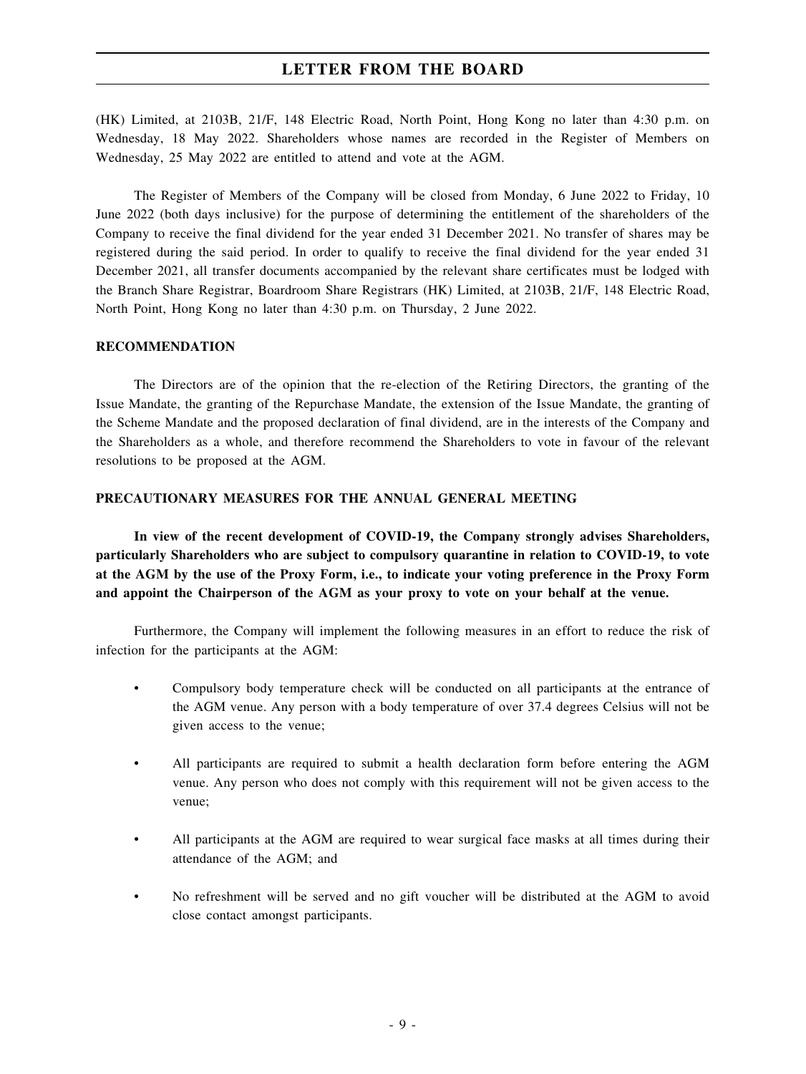(HK) Limited, at 2103B, 21/F, 148 Electric Road, North Point, Hong Kong no later than 4:30 p.m. on Wednesday, 18 May 2022. Shareholders whose names are recorded in the Register of Members on Wednesday, 25 May 2022 are entitled to attend and vote at the AGM.

The Register of Members of the Company will be closed from Monday, 6 June 2022 to Friday, 10 June 2022 (both days inclusive) for the purpose of determining the entitlement of the shareholders of the Company to receive the final dividend for the year ended 31 December 2021. No transfer of shares may be registered during the said period. In order to qualify to receive the final dividend for the year ended 31 December 2021, all transfer documents accompanied by the relevant share certificates must be lodged with the Branch Share Registrar, Boardroom Share Registrars (HK) Limited, at 2103B, 21/F, 148 Electric Road, North Point, Hong Kong no later than 4:30 p.m. on Thursday, 2 June 2022.

## **RECOMMENDATION**

The Directors are of the opinion that the re-election of the Retiring Directors, the granting of the Issue Mandate, the granting of the Repurchase Mandate, the extension of the Issue Mandate, the granting of the Scheme Mandate and the proposed declaration of final dividend, are in the interests of the Company and the Shareholders as a whole, and therefore recommend the Shareholders to vote in favour of the relevant resolutions to be proposed at the AGM.

### **PRECAUTIONARY MEASURES FOR THE ANNUAL GENERAL MEETING**

**In view of the recent development of COVID-19, the Company strongly advises Shareholders, particularly Shareholders who are subject to compulsory quarantine in relation to COVID-19, to vote** at the AGM by the use of the Proxy Form, i.e., to indicate your voting preference in the Proxy Form **and appoint the Chairperson of the AGM as your proxy to vote on your behalf at the venue.**

Furthermore, the Company will implement the following measures in an effort to reduce the risk of infection for the participants at the AGM:

- Compulsory body temperature check will be conducted on all participants at the entrance of the AGM venue. Any person with a body temperature of over 37.4 degrees Celsius will not be given access to the venue;
- All participants are required to submit a health declaration form before entering the AGM venue. Any person who does not comply with this requirement will not be given access to the venue;
- All participants at the AGM are required to wear surgical face masks at all times during their attendance of the AGM; and
- No refreshment will be served and no gift voucher will be distributed at the AGM to avoid close contact amongst participants.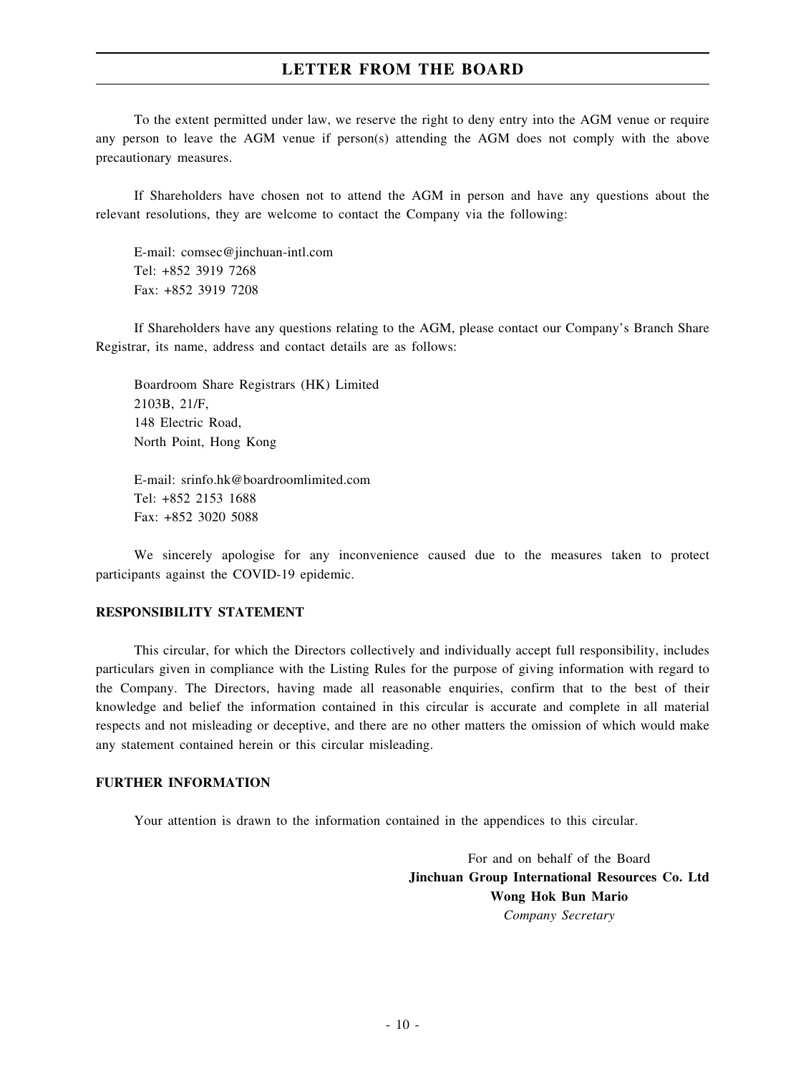To the extent permitted under law, we reserve the right to deny entry into the AGM venue or require any person to leave the AGM venue if person(s) attending the AGM does not comply with the above precautionary measures.

If Shareholders have chosen not to attend the AGM in person and have any questions about the relevant resolutions, they are welcome to contact the Company via the following:

E-mail: comsec@jinchuan-intl.com Tel: +852 3919 7268 Fax: +852 3919 7208

If Shareholders have any questions relating to the AGM, please contact our Company's Branch Share Registrar, its name, address and contact details are as follows:

Boardroom Share Registrars (HK) Limited 2103B, 21/F, 148 Electric Road, North Point, Hong Kong

E-mail: srinfo.hk@boardroomlimited.com Tel: +852 2153 1688 Fax: +852 3020 5088

We sincerely apologise for any inconvenience caused due to the measures taken to protect participants against the COVID-19 epidemic.

#### **RESPONSIBILITY STATEMENT**

This circular, for which the Directors collectively and individually accept full responsibility, includes particulars given in compliance with the Listing Rules for the purpose of giving information with regard to the Company. The Directors, having made all reasonable enquiries, confirm that to the best of their knowledge and belief the information contained in this circular is accurate and complete in all material respects and not misleading or deceptive, and there are no other matters the omission of which would make any statement contained herein or this circular misleading.

#### **FURTHER INFORMATION**

Your attention is drawn to the information contained in the appendices to this circular.

For and on behalf of the Board **Jinchuan Group International Resources Co. Ltd Wong Hok Bun Mario** *Company Secretary*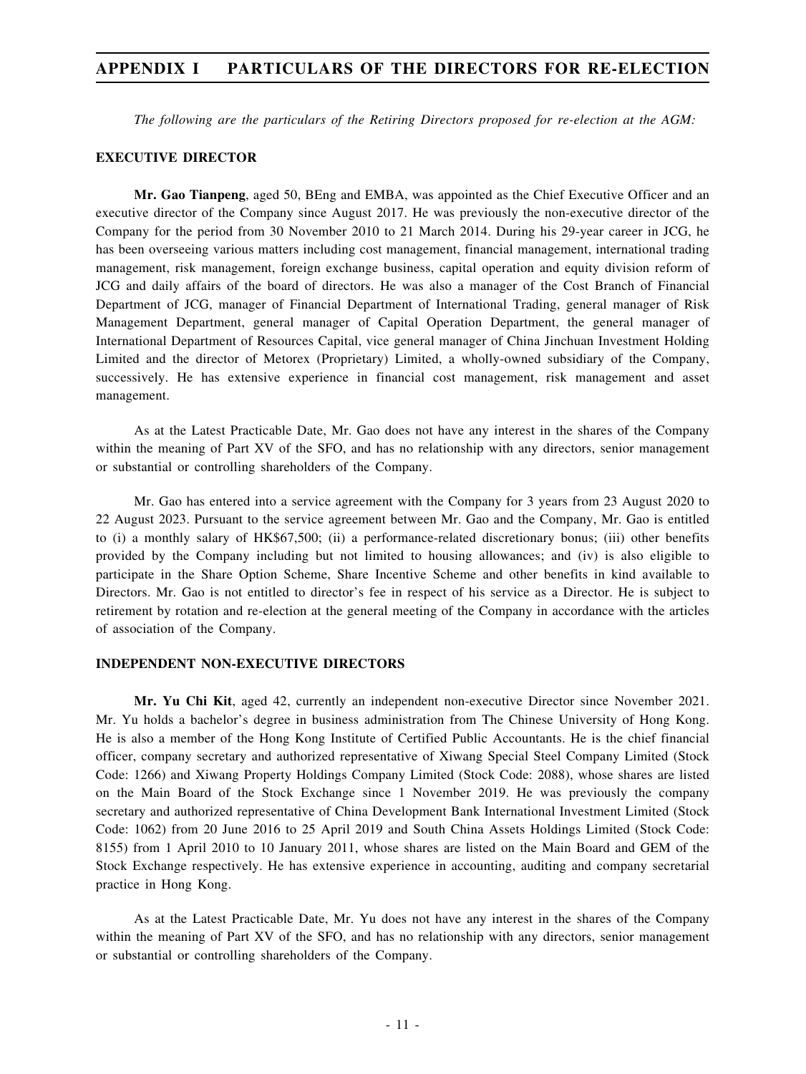## **APPENDIX I PARTICULARS OF THE DIRECTORS FOR RE-ELECTION**

*The following are the particulars of the Retiring Directors proposed for re-election at the AGM:*

#### **EXECUTIVE DIRECTOR**

**Mr. Gao Tianpeng**, aged 50, BEng and EMBA, was appointed as the Chief Executive Officer and an executive director of the Company since August 2017. He was previously the non-executive director of the Company for the period from 30 November 2010 to 21 March 2014. During his 29-year career in JCG, he has been overseeing various matters including cost management, financial management, international trading management, risk management, foreign exchange business, capital operation and equity division reform of JCG and daily affairs of the board of directors. He was also a manager of the Cost Branch of Financial Department of JCG, manager of Financial Department of International Trading, general manager of Risk Management Department, general manager of Capital Operation Department, the general manager of International Department of Resources Capital, vice general manager of China Jinchuan Investment Holding Limited and the director of Metorex (Proprietary) Limited, a wholly-owned subsidiary of the Company, successively. He has extensive experience in financial cost management, risk management and asset management.

As at the Latest Practicable Date, Mr. Gao does not have any interest in the shares of the Company within the meaning of Part XV of the SFO, and has no relationship with any directors, senior management or substantial or controlling shareholders of the Company.

Mr. Gao has entered into a service agreement with the Company for 3 years from 23 August 2020 to 22 August 2023. Pursuant to the service agreement between Mr. Gao and the Company, Mr. Gao is entitled to (i) a monthly salary of HK\$67,500; (ii) a performance-related discretionary bonus; (iii) other benefits provided by the Company including but not limited to housing allowances; and (iv) is also eligible to participate in the Share Option Scheme, Share Incentive Scheme and other benefits in kind available to Directors. Mr. Gao is not entitled to director's fee in respect of his service as a Director. He is subject to retirement by rotation and re-election at the general meeting of the Company in accordance with the articles of association of the Company.

#### **INDEPENDENT NON-EXECUTIVE DIRECTORS**

**Mr. Yu Chi Kit**, aged 42, currently an independent non-executive Director since November 2021. Mr. Yu holds a bachelor's degree in business administration from The Chinese University of Hong Kong. He is also a member of the Hong Kong Institute of Certified Public Accountants. He is the chief financial officer, company secretary and authorized representative of Xiwang Special Steel Company Limited (Stock Code: 1266) and Xiwang Property Holdings Company Limited (Stock Code: 2088), whose shares are listed on the Main Board of the Stock Exchange since 1 November 2019. He was previously the company secretary and authorized representative of China Development Bank International Investment Limited (Stock Code: 1062) from 20 June 2016 to 25 April 2019 and South China Assets Holdings Limited (Stock Code: 8155) from 1 April 2010 to 10 January 2011, whose shares are listed on the Main Board and GEM of the Stock Exchange respectively. He has extensive experience in accounting, auditing and company secretarial practice in Hong Kong.

As at the Latest Practicable Date, Mr. Yu does not have any interest in the shares of the Company within the meaning of Part XV of the SFO, and has no relationship with any directors, senior management or substantial or controlling shareholders of the Company.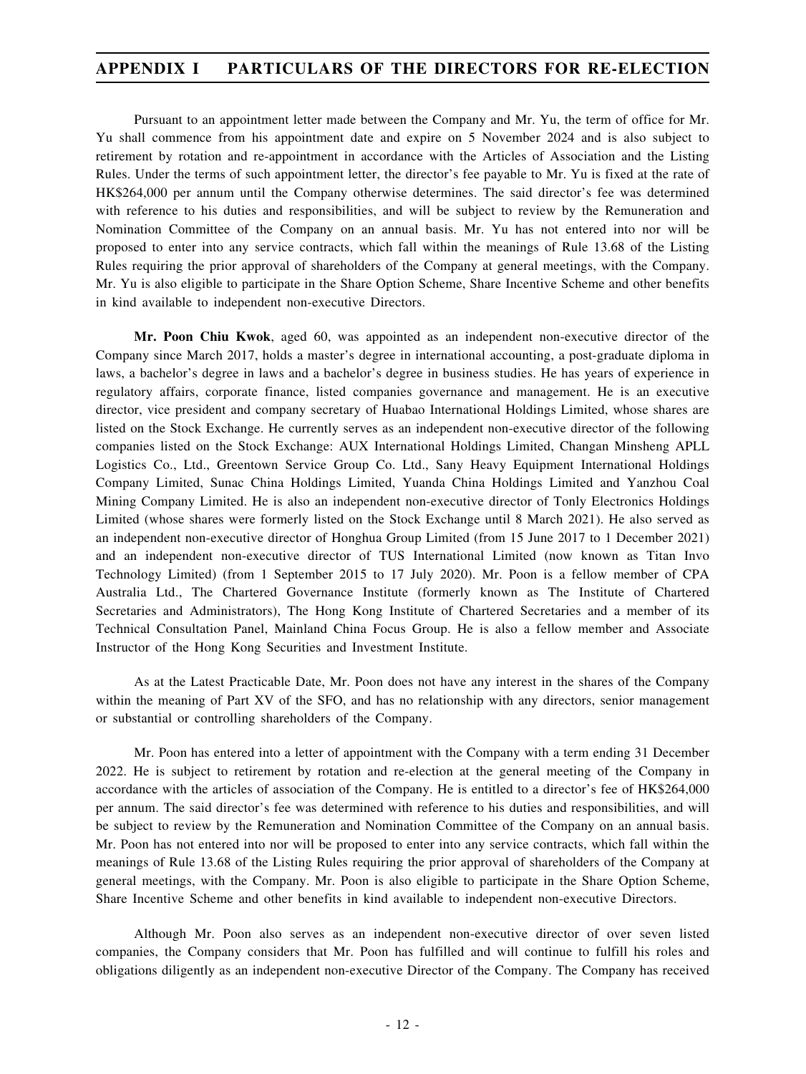## **APPENDIX I PARTICULARS OF THE DIRECTORS FOR RE-ELECTION**

Pursuant to an appointment letter made between the Company and Mr. Yu, the term of office for Mr. Yu shall commence from his appointment date and expire on 5 November 2024 and is also subject to retirement by rotation and re-appointment in accordance with the Articles of Association and the Listing Rules. Under the terms of such appointment letter, the director's fee payable to Mr. Yu is fixed at the rate of HK\$264,000 per annum until the Company otherwise determines. The said director's fee was determined with reference to his duties and responsibilities, and will be subject to review by the Remuneration and Nomination Committee of the Company on an annual basis. Mr. Yu has not entered into nor will be proposed to enter into any service contracts, which fall within the meanings of Rule 13.68 of the Listing Rules requiring the prior approval of shareholders of the Company at general meetings, with the Company. Mr. Yu is also eligible to participate in the Share Option Scheme, Share Incentive Scheme and other benefits in kind available to independent non-executive Directors.

**Mr. Poon Chiu Kwok**, aged 60, was appointed as an independent non-executive director of the Company since March 2017, holds a master's degree in international accounting, a post-graduate diploma in laws, a bachelor's degree in laws and a bachelor's degree in business studies. He has years of experience in regulatory affairs, corporate finance, listed companies governance and management. He is an executive director, vice president and company secretary of Huabao International Holdings Limited, whose shares are listed on the Stock Exchange. He currently serves as an independent non-executive director of the following companies listed on the Stock Exchange: AUX International Holdings Limited, Changan Minsheng APLL Logistics Co., Ltd., Greentown Service Group Co. Ltd., Sany Heavy Equipment International Holdings Company Limited, Sunac China Holdings Limited, Yuanda China Holdings Limited and Yanzhou Coal Mining Company Limited. He is also an independent non-executive director of Tonly Electronics Holdings Limited (whose shares were formerly listed on the Stock Exchange until 8 March 2021). He also served as an independent non-executive director of Honghua Group Limited (from 15 June 2017 to 1 December 2021) and an independent non-executive director of TUS International Limited (now known as Titan Invo Technology Limited) (from 1 September 2015 to 17 July 2020). Mr. Poon is a fellow member of CPA Australia Ltd., The Chartered Governance Institute (formerly known as The Institute of Chartered Secretaries and Administrators), The Hong Kong Institute of Chartered Secretaries and a member of its Technical Consultation Panel, Mainland China Focus Group. He is also a fellow member and Associate Instructor of the Hong Kong Securities and Investment Institute.

As at the Latest Practicable Date, Mr. Poon does not have any interest in the shares of the Company within the meaning of Part XV of the SFO, and has no relationship with any directors, senior management or substantial or controlling shareholders of the Company.

Mr. Poon has entered into a letter of appointment with the Company with a term ending 31 December 2022. He is subject to retirement by rotation and re-election at the general meeting of the Company in accordance with the articles of association of the Company. He is entitled to a director's fee of HK\$264,000 per annum. The said director's fee was determined with reference to his duties and responsibilities, and will be subject to review by the Remuneration and Nomination Committee of the Company on an annual basis. Mr. Poon has not entered into nor will be proposed to enter into any service contracts, which fall within the meanings of Rule 13.68 of the Listing Rules requiring the prior approval of shareholders of the Company at general meetings, with the Company. Mr. Poon is also eligible to participate in the Share Option Scheme, Share Incentive Scheme and other benefits in kind available to independent non-executive Directors.

Although Mr. Poon also serves as an independent non-executive director of over seven listed companies, the Company considers that Mr. Poon has fulfilled and will continue to fulfill his roles and obligations diligently as an independent non-executive Director of the Company. The Company has received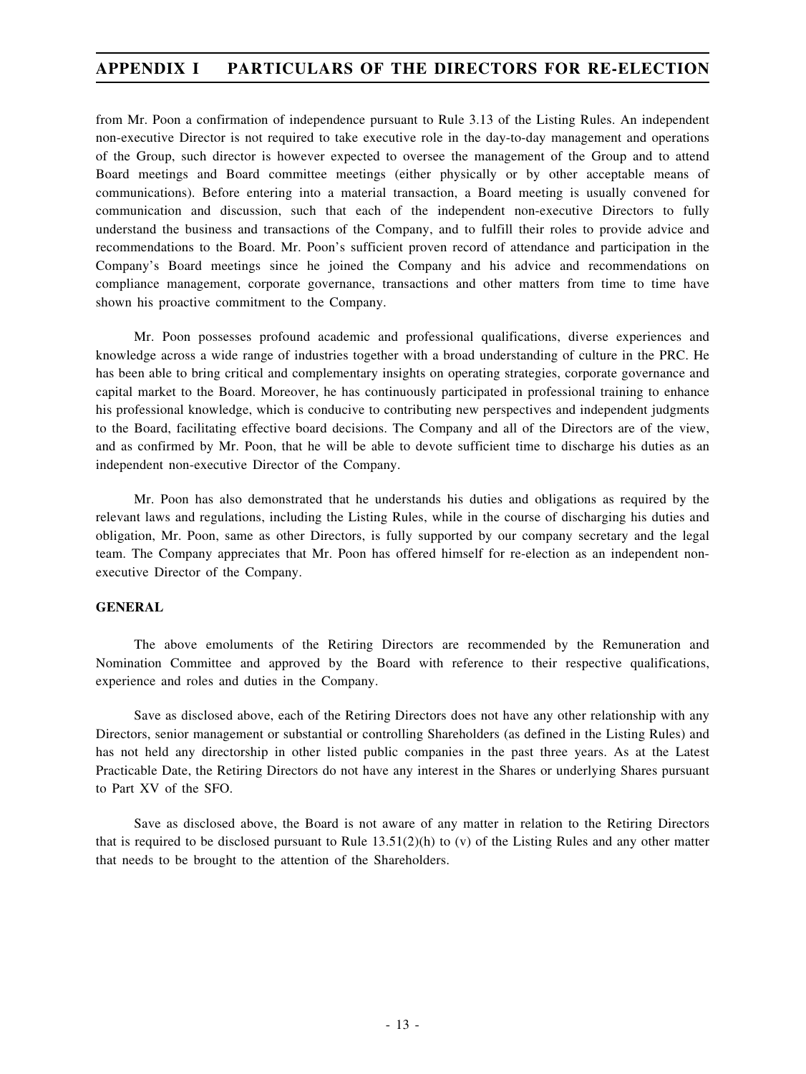## **APPENDIX I PARTICULARS OF THE DIRECTORS FOR RE-ELECTION**

from Mr. Poon a confirmation of independence pursuant to Rule 3.13 of the Listing Rules. An independent non-executive Director is not required to take executive role in the day-to-day management and operations of the Group, such director is however expected to oversee the management of the Group and to attend Board meetings and Board committee meetings (either physically or by other acceptable means of communications). Before entering into a material transaction, a Board meeting is usually convened for communication and discussion, such that each of the independent non-executive Directors to fully understand the business and transactions of the Company, and to fulfill their roles to provide advice and recommendations to the Board. Mr. Poon's sufficient proven record of attendance and participation in the Company's Board meetings since he joined the Company and his advice and recommendations on compliance management, corporate governance, transactions and other matters from time to time have shown his proactive commitment to the Company.

Mr. Poon possesses profound academic and professional qualifications, diverse experiences and knowledge across a wide range of industries together with a broad understanding of culture in the PRC. He has been able to bring critical and complementary insights on operating strategies, corporate governance and capital market to the Board. Moreover, he has continuously participated in professional training to enhance his professional knowledge, which is conducive to contributing new perspectives and independent judgments to the Board, facilitating effective board decisions. The Company and all of the Directors are of the view, and as confirmed by Mr. Poon, that he will be able to devote sufficient time to discharge his duties as an independent non-executive Director of the Company.

Mr. Poon has also demonstrated that he understands his duties and obligations as required by the relevant laws and regulations, including the Listing Rules, while in the course of discharging his duties and obligation, Mr. Poon, same as other Directors, is fully supported by our company secretary and the legal team. The Company appreciates that Mr. Poon has offered himself for re-election as an independent nonexecutive Director of the Company.

## **GENERAL**

The above emoluments of the Retiring Directors are recommended by the Remuneration and Nomination Committee and approved by the Board with reference to their respective qualifications, experience and roles and duties in the Company.

Save as disclosed above, each of the Retiring Directors does not have any other relationship with any Directors, senior management or substantial or controlling Shareholders (as defined in the Listing Rules) and has not held any directorship in other listed public companies in the past three years. As at the Latest Practicable Date, the Retiring Directors do not have any interest in the Shares or underlying Shares pursuant to Part XV of the SFO.

Save as disclosed above, the Board is not aware of any matter in relation to the Retiring Directors that is required to be disclosed pursuant to Rule  $13.51(2)$ (h) to (v) of the Listing Rules and any other matter that needs to be brought to the attention of the Shareholders.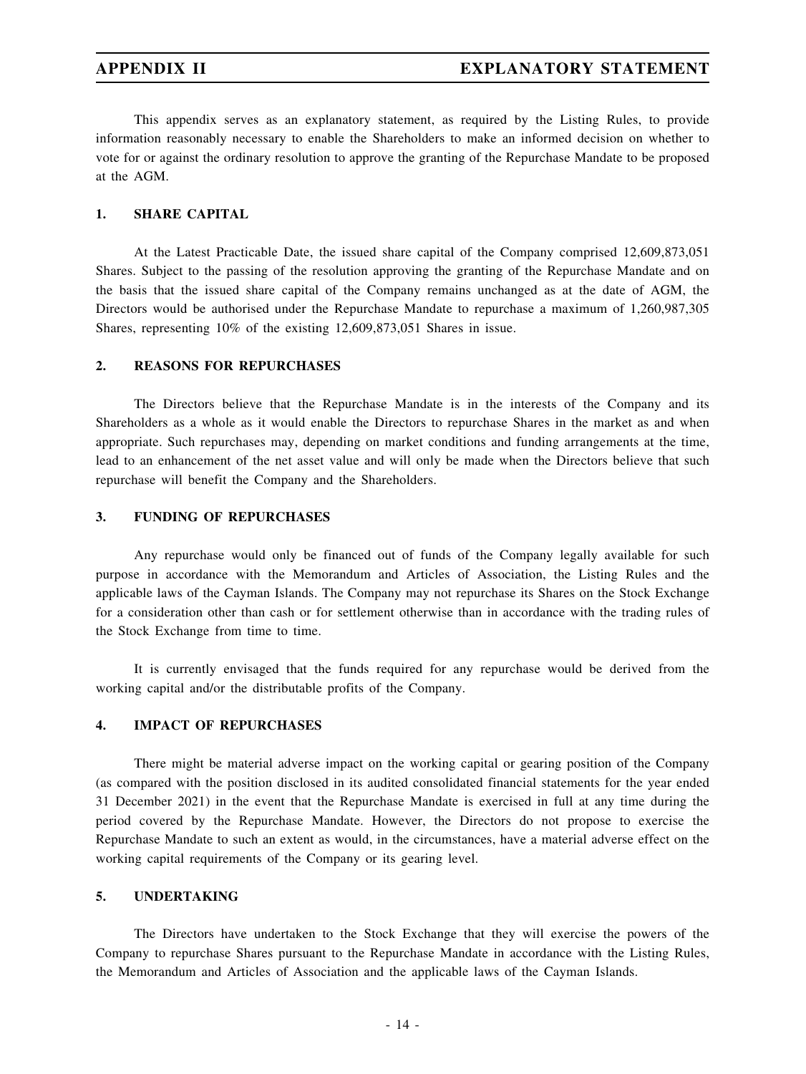This appendix serves as an explanatory statement, as required by the Listing Rules, to provide information reasonably necessary to enable the Shareholders to make an informed decision on whether to vote for or against the ordinary resolution to approve the granting of the Repurchase Mandate to be proposed at the AGM.

## **1. SHARE CAPITAL**

At the Latest Practicable Date, the issued share capital of the Company comprised 12,609,873,051 Shares. Subject to the passing of the resolution approving the granting of the Repurchase Mandate and on the basis that the issued share capital of the Company remains unchanged as at the date of AGM, the Directors would be authorised under the Repurchase Mandate to repurchase a maximum of 1,260,987,305 Shares, representing 10% of the existing 12,609,873,051 Shares in issue.

## **2. REASONS FOR REPURCHASES**

The Directors believe that the Repurchase Mandate is in the interests of the Company and its Shareholders as a whole as it would enable the Directors to repurchase Shares in the market as and when appropriate. Such repurchases may, depending on market conditions and funding arrangements at the time, lead to an enhancement of the net asset value and will only be made when the Directors believe that such repurchase will benefit the Company and the Shareholders.

## **3. FUNDING OF REPURCHASES**

Any repurchase would only be financed out of funds of the Company legally available for such purpose in accordance with the Memorandum and Articles of Association, the Listing Rules and the applicable laws of the Cayman Islands. The Company may not repurchase its Shares on the Stock Exchange for a consideration other than cash or for settlement otherwise than in accordance with the trading rules of the Stock Exchange from time to time.

It is currently envisaged that the funds required for any repurchase would be derived from the working capital and/or the distributable profits of the Company.

## **4. IMPACT OF REPURCHASES**

There might be material adverse impact on the working capital or gearing position of the Company (as compared with the position disclosed in its audited consolidated financial statements for the year ended 31 December 2021) in the event that the Repurchase Mandate is exercised in full at any time during the period covered by the Repurchase Mandate. However, the Directors do not propose to exercise the Repurchase Mandate to such an extent as would, in the circumstances, have a material adverse effect on the working capital requirements of the Company or its gearing level.

## **5. UNDERTAKING**

The Directors have undertaken to the Stock Exchange that they will exercise the powers of the Company to repurchase Shares pursuant to the Repurchase Mandate in accordance with the Listing Rules, the Memorandum and Articles of Association and the applicable laws of the Cayman Islands.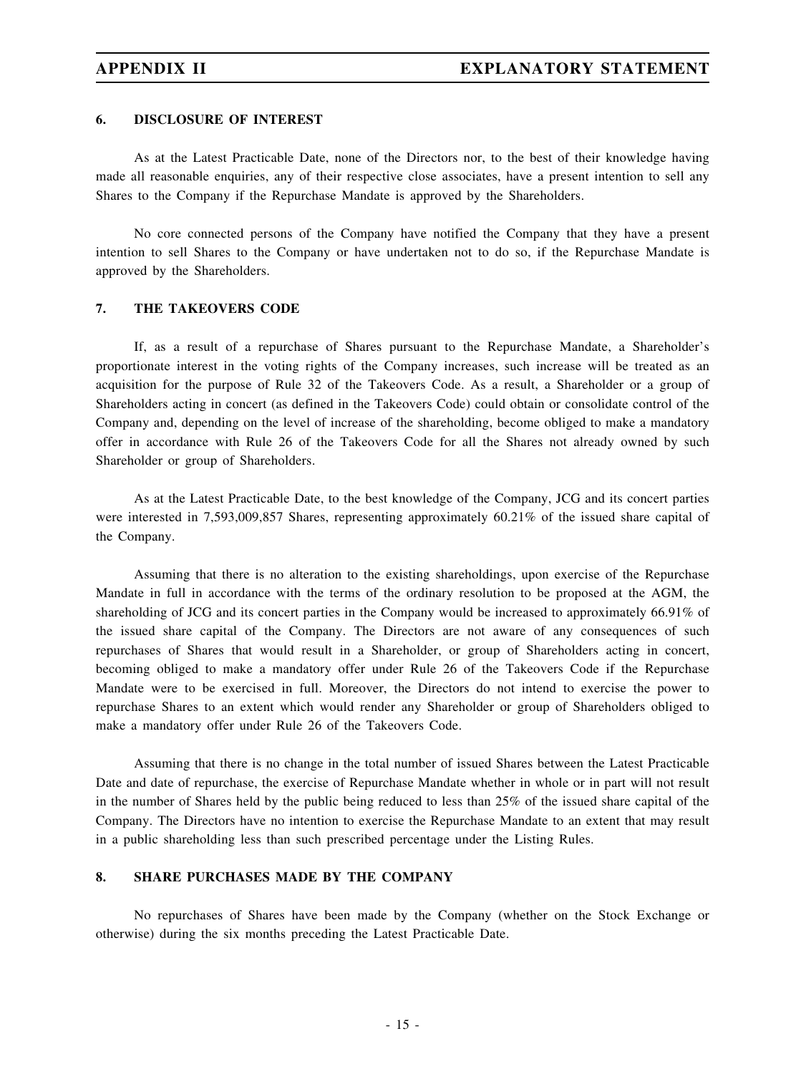### **6. DISCLOSURE OF INTEREST**

As at the Latest Practicable Date, none of the Directors nor, to the best of their knowledge having made all reasonable enquiries, any of their respective close associates, have a present intention to sell any Shares to the Company if the Repurchase Mandate is approved by the Shareholders.

No core connected persons of the Company have notified the Company that they have a present intention to sell Shares to the Company or have undertaken not to do so, if the Repurchase Mandate is approved by the Shareholders.

#### **7. THE TAKEOVERS CODE**

If, as a result of a repurchase of Shares pursuant to the Repurchase Mandate, a Shareholder's proportionate interest in the voting rights of the Company increases, such increase will be treated as an acquisition for the purpose of Rule 32 of the Takeovers Code. As a result, a Shareholder or a group of Shareholders acting in concert (as defined in the Takeovers Code) could obtain or consolidate control of the Company and, depending on the level of increase of the shareholding, become obliged to make a mandatory offer in accordance with Rule 26 of the Takeovers Code for all the Shares not already owned by such Shareholder or group of Shareholders.

As at the Latest Practicable Date, to the best knowledge of the Company, JCG and its concert parties were interested in 7,593,009,857 Shares, representing approximately 60.21% of the issued share capital of the Company.

Assuming that there is no alteration to the existing shareholdings, upon exercise of the Repurchase Mandate in full in accordance with the terms of the ordinary resolution to be proposed at the AGM, the shareholding of JCG and its concert parties in the Company would be increased to approximately 66.91% of the issued share capital of the Company. The Directors are not aware of any consequences of such repurchases of Shares that would result in a Shareholder, or group of Shareholders acting in concert, becoming obliged to make a mandatory offer under Rule 26 of the Takeovers Code if the Repurchase Mandate were to be exercised in full. Moreover, the Directors do not intend to exercise the power to repurchase Shares to an extent which would render any Shareholder or group of Shareholders obliged to make a mandatory offer under Rule 26 of the Takeovers Code.

Assuming that there is no change in the total number of issued Shares between the Latest Practicable Date and date of repurchase, the exercise of Repurchase Mandate whether in whole or in part will not result in the number of Shares held by the public being reduced to less than 25% of the issued share capital of the Company. The Directors have no intention to exercise the Repurchase Mandate to an extent that may result in a public shareholding less than such prescribed percentage under the Listing Rules.

## **8. SHARE PURCHASES MADE BY THE COMPANY**

No repurchases of Shares have been made by the Company (whether on the Stock Exchange or otherwise) during the six months preceding the Latest Practicable Date.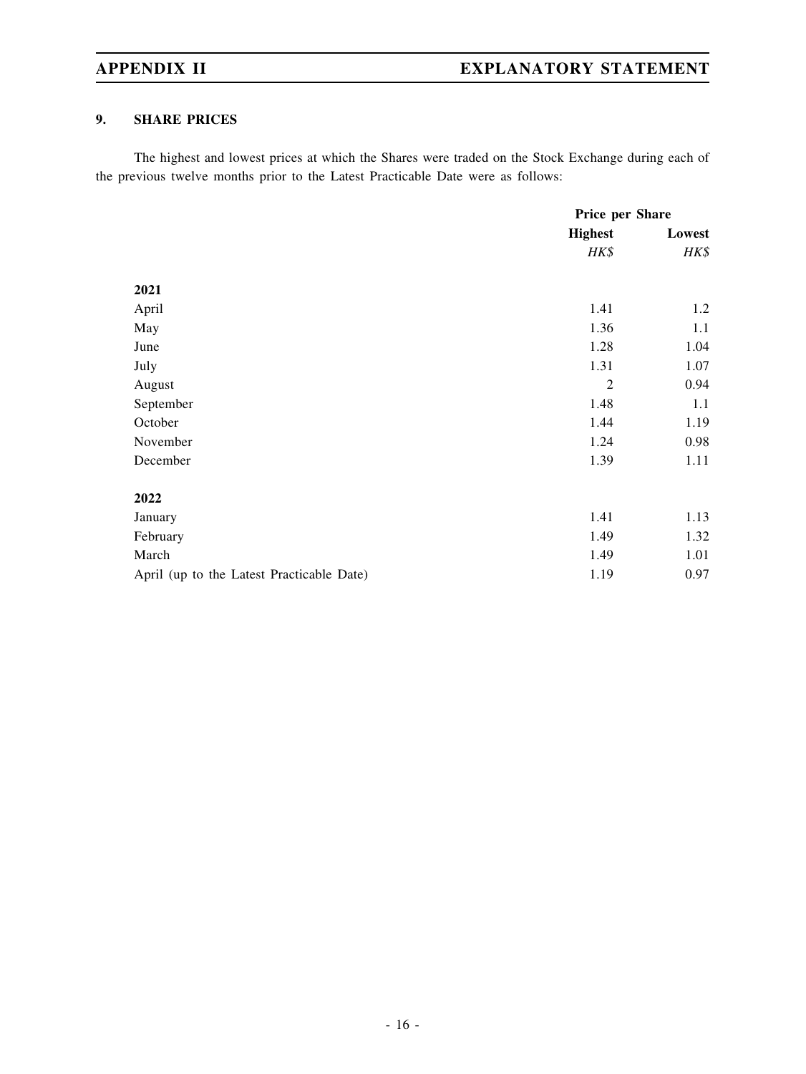## **9. SHARE PRICES**

The highest and lowest prices at which the Shares were traded on the Stock Exchange during each of the previous twelve months prior to the Latest Practicable Date were as follows:

|                                           | Price per Share |        |
|-------------------------------------------|-----------------|--------|
|                                           | <b>Highest</b>  | Lowest |
|                                           | HK\$            | HK\$   |
|                                           |                 |        |
| 2021                                      |                 |        |
| April                                     | 1.41            | 1.2    |
| May                                       | 1.36            | 1.1    |
| June                                      | 1.28            | 1.04   |
| July                                      | 1.31            | 1.07   |
| August                                    | $\overline{2}$  | 0.94   |
| September                                 | 1.48            | 1.1    |
| October                                   | 1.44            | 1.19   |
| November                                  | 1.24            | 0.98   |
| December                                  | 1.39            | 1.11   |
| 2022                                      |                 |        |
| January                                   | 1.41            | 1.13   |
| February                                  | 1.49            | 1.32   |
| March                                     | 1.49            | 1.01   |
| April (up to the Latest Practicable Date) | 1.19            | 0.97   |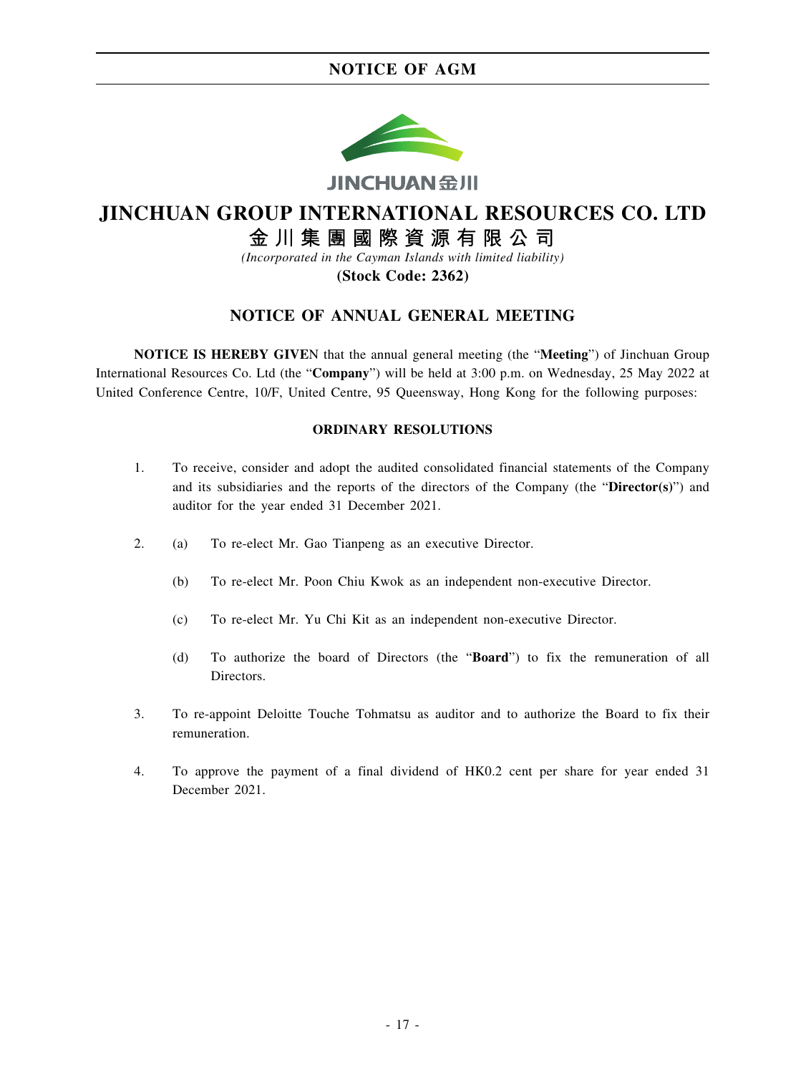

# **JINCHUAN GROUP INTERNATIONAL RESOURCES CO. LTD**

# 金川集團國際資源有限公司

*(Incorporated in the Cayman Islands with limited liability)*

**(Stock Code: 2362)**

## **NOTICE OF ANNUAL GENERAL MEETING**

**NOTICE IS HEREBY GIVE**N that the annual general meeting (the "**Meeting**") of Jinchuan Group International Resources Co. Ltd (the "**Company**") will be held at 3:00 p.m. on Wednesday, 25 May 2022 at United Conference Centre, 10/F, United Centre, 95 Queensway, Hong Kong for the following purposes:

## **ORDINARY RESOLUTIONS**

- 1. To receive, consider and adopt the audited consolidated financial statements of the Company and its subsidiaries and the reports of the directors of the Company (the "**Director(s)**") and auditor for the year ended 31 December 2021.
- 2. (a) To re-elect Mr. Gao Tianpeng as an executive Director.
	- (b) To re-elect Mr. Poon Chiu Kwok as an independent non-executive Director.
	- (c) To re-elect Mr. Yu Chi Kit as an independent non-executive Director.
	- (d) To authorize the board of Directors (the "**Board**") to fix the remuneration of all Directors.
- 3. To re-appoint Deloitte Touche Tohmatsu as auditor and to authorize the Board to fix their remuneration.
- 4. To approve the payment of a final dividend of HK0.2 cent per share for year ended 31 December 2021.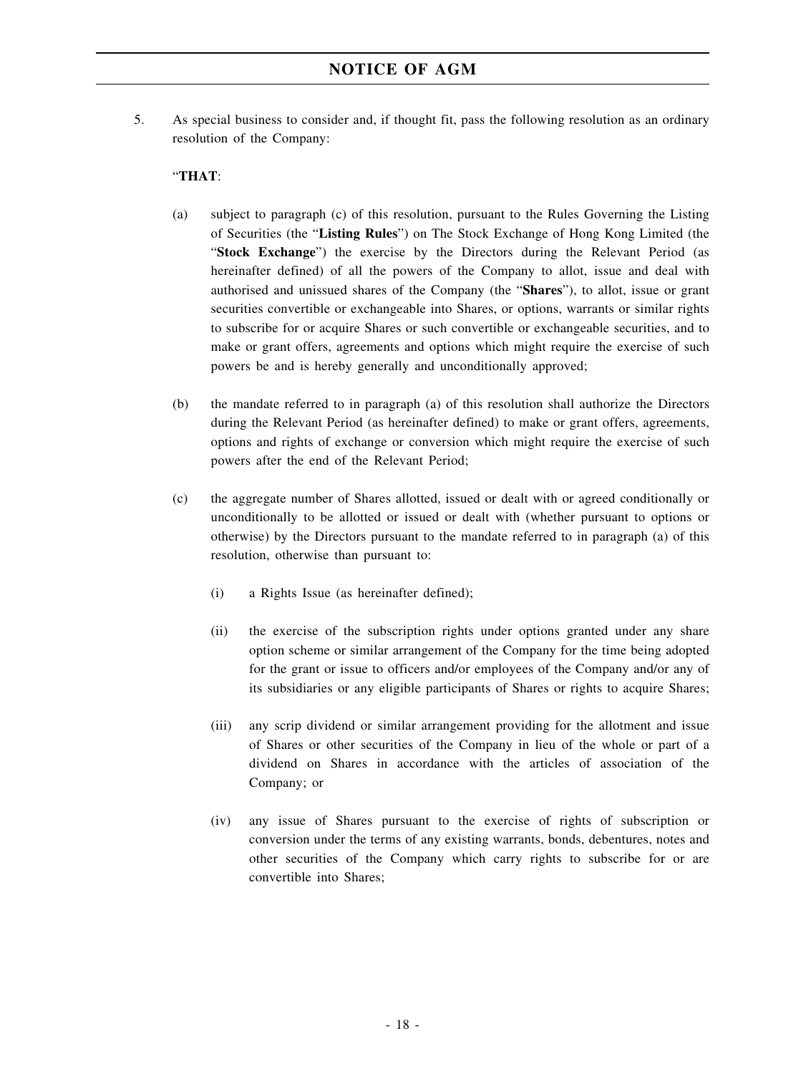5. As special business to consider and, if thought fit, pass the following resolution as an ordinary resolution of the Company:

## "**THAT**:

- (a) subject to paragraph (c) of this resolution, pursuant to the Rules Governing the Listing of Securities (the "**Listing Rules**") on The Stock Exchange of Hong Kong Limited (the "**Stock Exchange**") the exercise by the Directors during the Relevant Period (as hereinafter defined) of all the powers of the Company to allot, issue and deal with authorised and unissued shares of the Company (the "**Shares**"), to allot, issue or grant securities convertible or exchangeable into Shares, or options, warrants or similar rights to subscribe for or acquire Shares or such convertible or exchangeable securities, and to make or grant offers, agreements and options which might require the exercise of such powers be and is hereby generally and unconditionally approved;
- (b) the mandate referred to in paragraph (a) of this resolution shall authorize the Directors during the Relevant Period (as hereinafter defined) to make or grant offers, agreements, options and rights of exchange or conversion which might require the exercise of such powers after the end of the Relevant Period;
- (c) the aggregate number of Shares allotted, issued or dealt with or agreed conditionally or unconditionally to be allotted or issued or dealt with (whether pursuant to options or otherwise) by the Directors pursuant to the mandate referred to in paragraph (a) of this resolution, otherwise than pursuant to:
	- (i) a Rights Issue (as hereinafter defined);
	- (ii) the exercise of the subscription rights under options granted under any share option scheme or similar arrangement of the Company for the time being adopted for the grant or issue to officers and/or employees of the Company and/or any of its subsidiaries or any eligible participants of Shares or rights to acquire Shares;
	- (iii) any scrip dividend or similar arrangement providing for the allotment and issue of Shares or other securities of the Company in lieu of the whole or part of a dividend on Shares in accordance with the articles of association of the Company; or
	- (iv) any issue of Shares pursuant to the exercise of rights of subscription or conversion under the terms of any existing warrants, bonds, debentures, notes and other securities of the Company which carry rights to subscribe for or are convertible into Shares;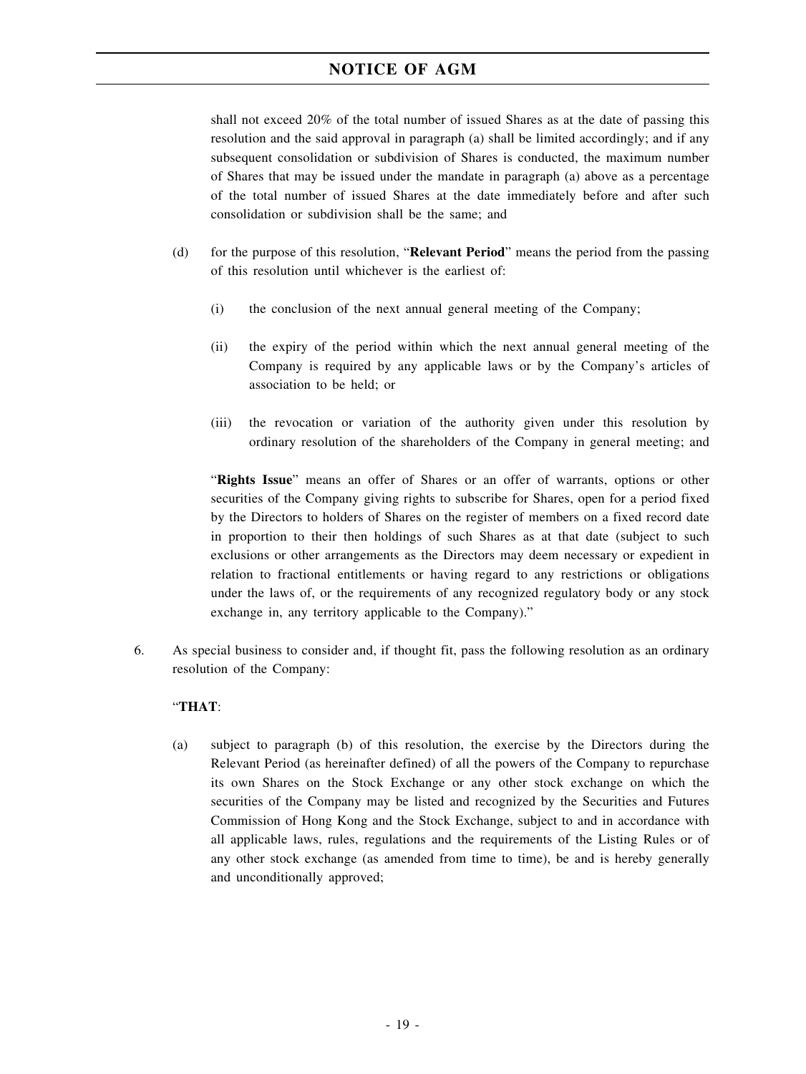shall not exceed 20% of the total number of issued Shares as at the date of passing this resolution and the said approval in paragraph (a) shall be limited accordingly; and if any subsequent consolidation or subdivision of Shares is conducted, the maximum number of Shares that may be issued under the mandate in paragraph (a) above as a percentage of the total number of issued Shares at the date immediately before and after such consolidation or subdivision shall be the same; and

- (d) for the purpose of this resolution, "**Relevant Period**" means the period from the passing of this resolution until whichever is the earliest of:
	- (i) the conclusion of the next annual general meeting of the Company;
	- (ii) the expiry of the period within which the next annual general meeting of the Company is required by any applicable laws or by the Company's articles of association to be held; or
	- (iii) the revocation or variation of the authority given under this resolution by ordinary resolution of the shareholders of the Company in general meeting; and

"**Rights Issue**" means an offer of Shares or an offer of warrants, options or other securities of the Company giving rights to subscribe for Shares, open for a period fixed by the Directors to holders of Shares on the register of members on a fixed record date in proportion to their then holdings of such Shares as at that date (subject to such exclusions or other arrangements as the Directors may deem necessary or expedient in relation to fractional entitlements or having regard to any restrictions or obligations under the laws of, or the requirements of any recognized regulatory body or any stock exchange in, any territory applicable to the Company)."

6. As special business to consider and, if thought fit, pass the following resolution as an ordinary resolution of the Company:

## "**THAT**:

(a) subject to paragraph (b) of this resolution, the exercise by the Directors during the Relevant Period (as hereinafter defined) of all the powers of the Company to repurchase its own Shares on the Stock Exchange or any other stock exchange on which the securities of the Company may be listed and recognized by the Securities and Futures Commission of Hong Kong and the Stock Exchange, subject to and in accordance with all applicable laws, rules, regulations and the requirements of the Listing Rules or of any other stock exchange (as amended from time to time), be and is hereby generally and unconditionally approved;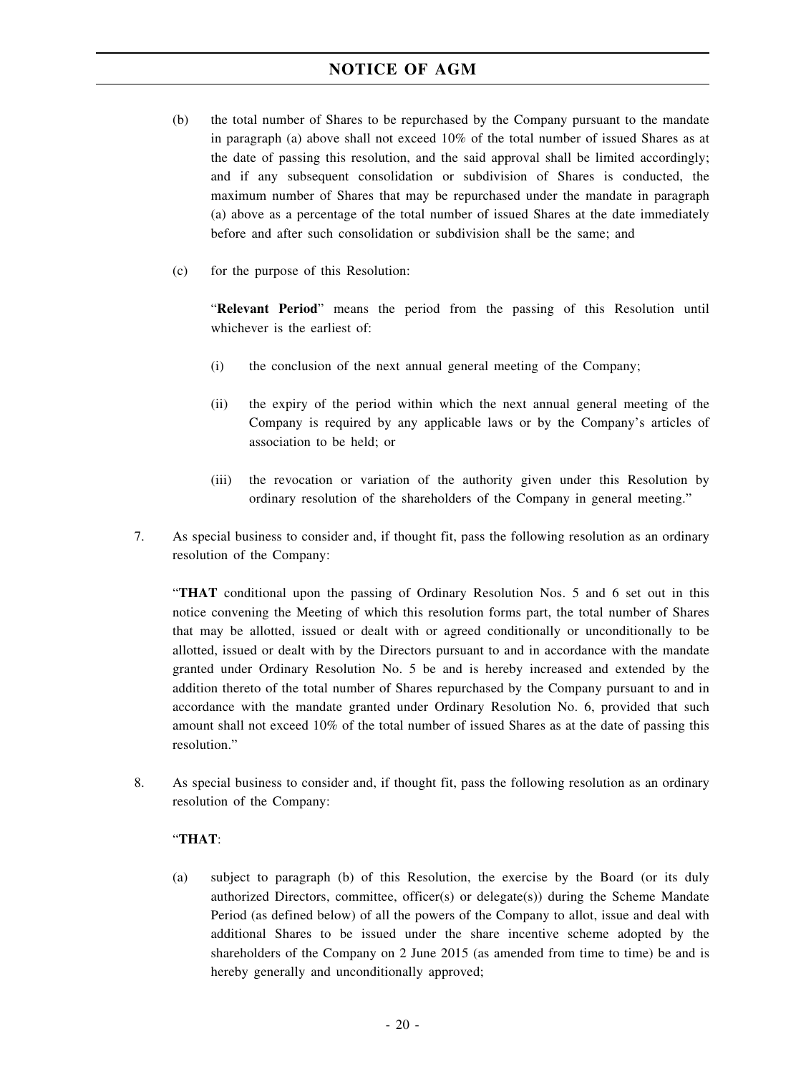- (b) the total number of Shares to be repurchased by the Company pursuant to the mandate in paragraph (a) above shall not exceed 10% of the total number of issued Shares as at the date of passing this resolution, and the said approval shall be limited accordingly; and if any subsequent consolidation or subdivision of Shares is conducted, the maximum number of Shares that may be repurchased under the mandate in paragraph (a) above as a percentage of the total number of issued Shares at the date immediately before and after such consolidation or subdivision shall be the same; and
- (c) for the purpose of this Resolution:

"**Relevant Period**" means the period from the passing of this Resolution until whichever is the earliest of:

- (i) the conclusion of the next annual general meeting of the Company;
- (ii) the expiry of the period within which the next annual general meeting of the Company is required by any applicable laws or by the Company's articles of association to be held; or
- (iii) the revocation or variation of the authority given under this Resolution by ordinary resolution of the shareholders of the Company in general meeting."
- 7. As special business to consider and, if thought fit, pass the following resolution as an ordinary resolution of the Company:

"**THAT** conditional upon the passing of Ordinary Resolution Nos. 5 and 6 set out in this notice convening the Meeting of which this resolution forms part, the total number of Shares that may be allotted, issued or dealt with or agreed conditionally or unconditionally to be allotted, issued or dealt with by the Directors pursuant to and in accordance with the mandate granted under Ordinary Resolution No. 5 be and is hereby increased and extended by the addition thereto of the total number of Shares repurchased by the Company pursuant to and in accordance with the mandate granted under Ordinary Resolution No. 6, provided that such amount shall not exceed 10% of the total number of issued Shares as at the date of passing this resolution."

8. As special business to consider and, if thought fit, pass the following resolution as an ordinary resolution of the Company:

## "**THAT**:

(a) subject to paragraph (b) of this Resolution, the exercise by the Board (or its duly authorized Directors, committee, officer(s) or delegate(s)) during the Scheme Mandate Period (as defined below) of all the powers of the Company to allot, issue and deal with additional Shares to be issued under the share incentive scheme adopted by the shareholders of the Company on 2 June 2015 (as amended from time to time) be and is hereby generally and unconditionally approved;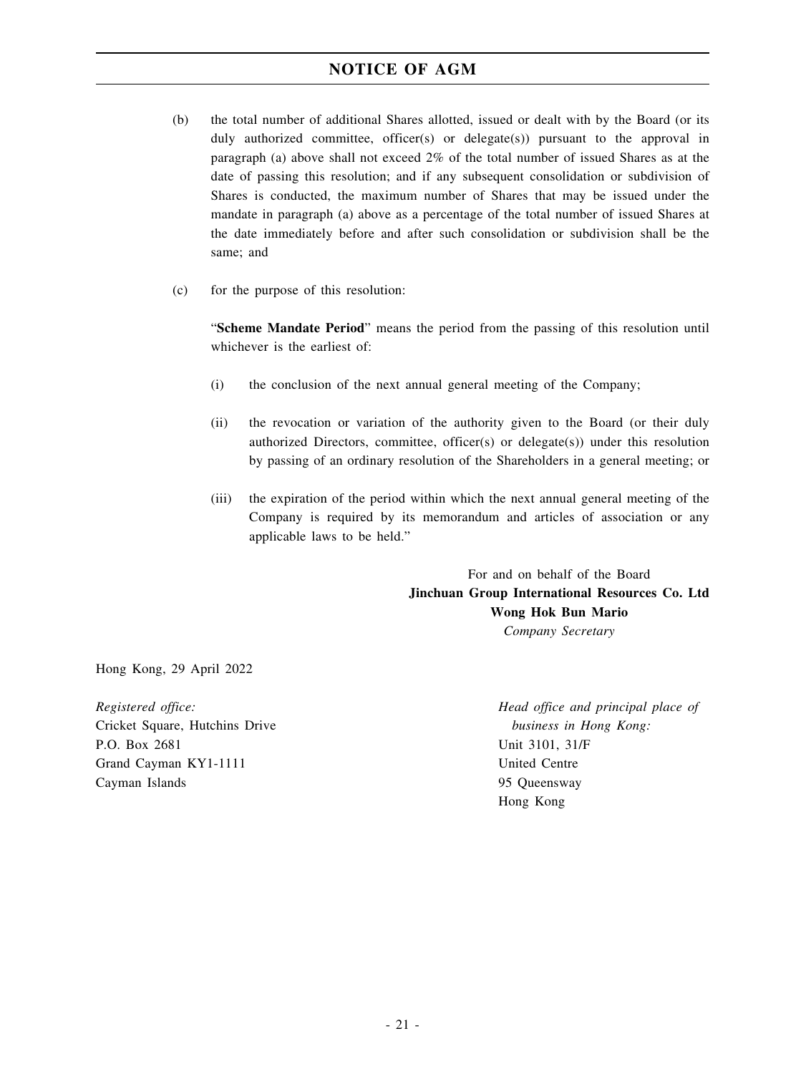- (b) the total number of additional Shares allotted, issued or dealt with by the Board (or its duly authorized committee, officer(s) or delegate(s)) pursuant to the approval in paragraph (a) above shall not exceed 2% of the total number of issued Shares as at the date of passing this resolution; and if any subsequent consolidation or subdivision of Shares is conducted, the maximum number of Shares that may be issued under the mandate in paragraph (a) above as a percentage of the total number of issued Shares at the date immediately before and after such consolidation or subdivision shall be the same; and
- (c) for the purpose of this resolution:

"**Scheme Mandate Period**" means the period from the passing of this resolution until whichever is the earliest of:

- (i) the conclusion of the next annual general meeting of the Company;
- (ii) the revocation or variation of the authority given to the Board (or their duly authorized Directors, committee, officer(s) or delegate(s)) under this resolution by passing of an ordinary resolution of the Shareholders in a general meeting; or
- (iii) the expiration of the period within which the next annual general meeting of the Company is required by its memorandum and articles of association or any applicable laws to be held."

For and on behalf of the Board **Jinchuan Group International Resources Co. Ltd Wong Hok Bun Mario** *Company Secretary*

Hong Kong, 29 April 2022

*Registered office:* Cricket Square, Hutchins Drive P.O. Box 2681 Grand Cayman KY1-1111 Cayman Islands

*Head office and principal place of business in Hong Kong:* Unit 3101, 31/F United Centre 95 Queensway Hong Kong